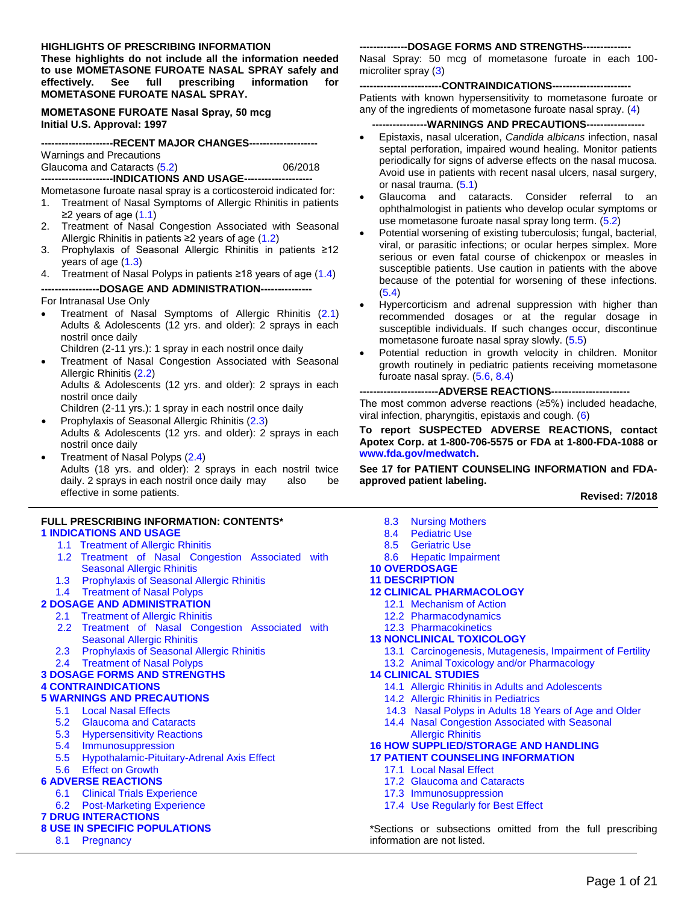#### **HIGHLIGHTS OF PRESCRIBING INFORMATION**

**These highlights do not include all the information needed to use MOMETASONE FUROATE NASAL SPRAY safely and effectively. See full prescribing information for MOMETASONE FUROATE NASAL SPRAY.** 

**MOMETASONE FUROATE Nasal Spray, 50 mcg Initial U.S. Approval: 1997**

| ---------------------RECENT MAJOR CHANGES---------------------     |         |
|--------------------------------------------------------------------|---------|
|                                                                    |         |
| Warnings and Precautions                                           |         |
| Glaucoma and Cataracts (5.2)                                       | 06/2018 |
| ------------------------INDICATIONS AND USAGE--------------------- |         |

Mometasone furoate nasal spray is a corticosteroid indicated for:

- 1. Treatment of Nasal Symptoms of Allergic Rhinitis in patients  $≥2$  years of age [\(1.1\)](#page-1-0)
- 2. Treatment of Nasal Congestion Associated with Seasonal Allergic Rhinitis in patients  $≥2$  years of age [\(1.2\)](#page-1-1)
- 3. Prophylaxis of Seasonal Allergic Rhinitis in patients ≥12 years of age [\(1.3\)](#page-1-2)
- 4. Treatment of Nasal Polyps in patients ≥18 years of age [\(1.4\)](#page-1-3)

#### **-----------------DOSAGE AND ADMINISTRATION---------------**

For Intranasal Use Only

 Treatment of Nasal Symptoms of Allergic Rhinitis [\(2.1\)](#page-1-4) Adults & Adolescents (12 yrs. and older): 2 sprays in each nostril once daily

Children (2-11 yrs.): 1 spray in each nostril once daily

 Treatment of Nasal Congestion Associated with Seasonal Allergic Rhinitis [\(2.2\)](#page-1-5)

Adults & Adolescents (12 yrs. and older): 2 sprays in each nostril once daily

Children (2-11 yrs.): 1 spray in each nostril once daily

- Prophylaxis of Seasonal Allergic Rhinitis [\(2.3\)](#page-1-6) Adults & Adolescents (12 yrs. and older): 2 sprays in each nostril once daily
- Treatment of Nasal Polyps [\(2.4\)](#page-2-1) Adults (18 yrs. and older): 2 sprays in each nostril twice daily. 2 sprays in each nostril once daily may also be effective in some patients.

#### **FULL PRESCRIBING INFORMATION: CONTENTS\* 1 [INDICATIONS AND USAGE](#page-1-7)**

- [1.1 Treatment of Allergic Rhinitis](#page-1-0)
- [1.2 Treatment of Nasal Congestion Associated with](#page-1-1)  [Seasonal Allergic Rhinitis](#page-1-1)
- [1.3 Prophylaxis of Seasonal Allergic Rhinitis](#page-1-2)
- [1.4 Treatment of Nasal Polyps](#page-1-3)

#### **[2 DOSAGE AND ADMINISTRATION](#page-1-8)**

- [2.1 Treatment of Allergic Rhinitis](#page-1-5)
- 2.2 [Treatment of Nasal Congestion Associated with](#page-1-5)  [Seasonal Allergic Rhinitis](#page-1-5)
- [2.3 Prophylaxis of Seasonal Allergic Rhinitis](#page-1-6)
- [2.4 Treatment of Nasal Polyps](#page-2-1)

### **[3 DOSAGE FORMS AND STRENGTHS](#page-2-2)**

#### **[4 CONTRAINDICATIONS](#page-2-3)**

#### **[5 WARNINGS AND PRECAUTIONS](#page-2-5)**

- [5.1 Local Nasal Effects](#page-2-4)
- [5.2 Glaucoma and Cataracts](#page-2-0)
- [5.3 Hypersensitivity Reactions](#page-3-4)
- [5.4 Immunosuppression](#page-3-0)
- [5.5 Hypothalamic-Pituitary-Adrenal Axis Effect](#page-3-1)

#### [5.6 Effect on Growth](#page-3-2)

### **[6 ADVERSE REACTIONS](#page-3-3)**

- [6.1 Clinical Trials Experience](#page-4-0)
- [6.2 Post-Marketing Experience](#page-5-0)

# **[7 DRUG INTERACTIONS](#page-5-1)**

### **[8 USE IN SPECIFIC POPULATIONS](#page-6-1)**

[8.1 Pregnancy](#page-6-2)

#### ---DOSAGE FORMS AND STRENGTHS--

Nasal Spray: 50 mcg of mometasone furoate in each 100 microliter spray [\(3\)](#page-2-2)

### --CONTRAINDICATIONS---

Patients with known hypersensitivity to mometasone furoate or any of the ingredients of mometasone furoate nasal spray. [\(4\)](#page-2-3)

#### **----------------WARNINGS AND PRECAUTIONS-----------------**

- Epistaxis, nasal ulceration, *Candida albicans* infection, nasal septal perforation, impaired wound healing. Monitor patients periodically for signs of adverse effects on the nasal mucosa. Avoid use in patients with recent nasal ulcers, nasal surgery, or nasal trauma. [\(5.1\)](#page-2-4)
- Glaucoma and cataracts. Consider referral to an ophthalmologist in patients who develop ocular symptoms or use mometasone furoate nasal spray long term. [\(5.2\)](#page-2-0)
- Potential worsening of existing tuberculosis; fungal, bacterial, viral, or parasitic infections; or ocular herpes simplex. More serious or even fatal course of chickenpox or measles in susceptible patients. Use caution in patients with the above because of the potential for worsening of these infections. [\(5.4\)](#page-3-0)
- Hypercorticism and adrenal suppression with higher than recommended dosages or at the regular dosage in susceptible individuals. If such changes occur, discontinue mometasone furoate nasal spray slowly. [\(5.5\)](#page-3-1)
- Potential reduction in growth velocity in children. Monitor growth routinely in pediatric patients receiving mometasone furoate nasal spray. [\(5.6,](#page-3-2) [8.4\)](#page-6-0)

### **-----------------------ADVERSE REACTIONS-----------------------**

The most common adverse reactions (≥5%) included headache, viral infection, pharyngitis, epistaxis and cough. [\(6\)](#page-3-3)

#### **To report SUSPECTED ADVERSE REACTIONS, contact Apotex Corp. at 1-800-706-5575 or FDA at 1-800-FDA-1088 or [www.fda.gov/medwatch.](http://www.fda.gov/medwatch)**

**See 17 for PATIENT COUNSELING INFORMATION and FDAapproved patient labeling.** 

#### **Revised: 7/2018**

[8.3 Nursing Mothers](#page-6-3) [8.4 Pediatric Use](#page-6-0) [8.5 Geriatric Use](#page-7-0) [8.6 Hepatic Impairment](#page-7-1) **[10 OVERDOSAGE](#page-7-2) [11 DESCRIPTION](#page-8-0) [12 CLINICAL PHARMACOLOGY](#page-8-1)** [12.1 Mechanism of Action](#page-8-2) [12.2 Pharmacodynamics](#page-9-0) [12.3 Pharmacokinetics](#page-10-0) **[13 NONCLINICAL TOXICOLOGY](#page-11-0)** [13.1 Carcinogenesis, Mutagenesis, Impairment of](#page-11-1) Fertility [13.2 Animal Toxicology and/or Pharmacology](#page-11-2) **[14 CLINICAL STUDIES](#page-11-3)** [14.1 Allergic Rhinitis in Adults and Adolescents](#page-11-4) [14.2 Allergic Rhinitis in Pediatrics](#page-12-0) [14.3 Nasal Polyps in Adults 18 Years of Age and Older](#page-12-1) 14.4 [Nasal Congestion Associated with Seasonal](#page-13-0)  [Allergic Rhinitis](#page-13-0) **[16 HOW SUPPLIED/STORAGE AND HANDLING](#page-14-0) [17 PATIENT COUNSELING INFORMATION](#page-14-1)** [17.1 Local Nasal Effect](#page-14-2) [17.2 Glaucoma and Cataracts](#page-15-0) [17.3 Immunosuppression](#page-15-1) [17.4 Use Regularly for Best Effect](#page-15-2)

\*Sections or subsections omitted from the full prescribing information are not listed.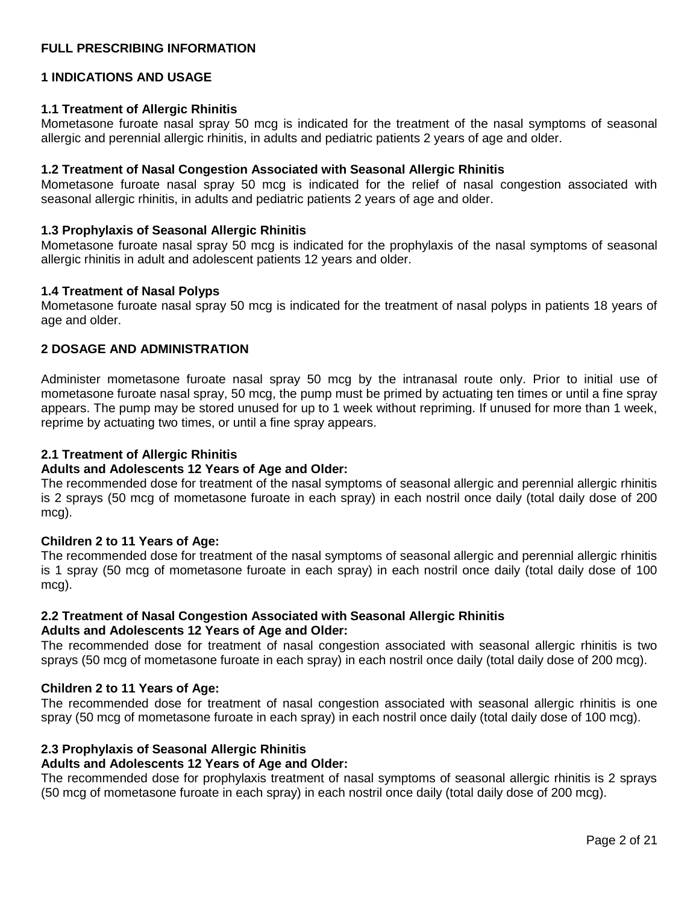# **FULL PRESCRIBING INFORMATION**

### <span id="page-1-7"></span>**1 INDICATIONS AND USAGE**

### <span id="page-1-0"></span>**1.1 Treatment of Allergic Rhinitis**

Mometasone furoate nasal spray 50 mcg is indicated for the treatment of the nasal symptoms of seasonal allergic and perennial allergic rhinitis, in adults and pediatric patients 2 years of age and older.

#### <span id="page-1-1"></span>**1.2 Treatment of Nasal Congestion Associated with Seasonal Allergic Rhinitis**

Mometasone furoate nasal spray 50 mcg is indicated for the relief of nasal congestion associated with seasonal allergic rhinitis, in adults and pediatric patients 2 years of age and older.

#### <span id="page-1-2"></span>**1.3 Prophylaxis of Seasonal Allergic Rhinitis**

Mometasone furoate nasal spray 50 mcg is indicated for the prophylaxis of the nasal symptoms of seasonal allergic rhinitis in adult and adolescent patients 12 years and older.

#### <span id="page-1-3"></span>**1.4 Treatment of Nasal Polyps**

Mometasone furoate nasal spray 50 mcg is indicated for the treatment of nasal polyps in patients 18 years of age and older.

#### <span id="page-1-8"></span>**2 DOSAGE AND ADMINISTRATION**

Administer mometasone furoate nasal spray 50 mcg by the intranasal route only. Prior to initial use of mometasone furoate nasal spray, 50 mcg, the pump must be primed by actuating ten times or until a fine spray appears. The pump may be stored unused for up to 1 week without repriming. If unused for more than 1 week, reprime by actuating two times, or until a fine spray appears.

#### <span id="page-1-4"></span>**2.1 Treatment of Allergic Rhinitis**

#### **Adults and Adolescents 12 Years of Age and Older:**

The recommended dose for treatment of the nasal symptoms of seasonal allergic and perennial allergic rhinitis is 2 sprays (50 mcg of mometasone furoate in each spray) in each nostril once daily (total daily dose of 200 mcg).

#### **Children 2 to 11 Years of Age:**

The recommended dose for treatment of the nasal symptoms of seasonal allergic and perennial allergic rhinitis is 1 spray (50 mcg of mometasone furoate in each spray) in each nostril once daily (total daily dose of 100 mcg).

### <span id="page-1-5"></span>**2.2 Treatment of Nasal Congestion Associated with Seasonal Allergic Rhinitis Adults and Adolescents 12 Years of Age and Older:**

The recommended dose for treatment of nasal congestion associated with seasonal allergic rhinitis is two sprays (50 mcg of mometasone furoate in each spray) in each nostril once daily (total daily dose of 200 mcg).

#### **Children 2 to 11 Years of Age:**

The recommended dose for treatment of nasal congestion associated with seasonal allergic rhinitis is one spray (50 mcg of mometasone furoate in each spray) in each nostril once daily (total daily dose of 100 mcg).

### <span id="page-1-6"></span>**2.3 Prophylaxis of Seasonal Allergic Rhinitis**

#### **Adults and Adolescents 12 Years of Age and Older:**

The recommended dose for prophylaxis treatment of nasal symptoms of seasonal allergic rhinitis is 2 sprays (50 mcg of mometasone furoate in each spray) in each nostril once daily (total daily dose of 200 mcg).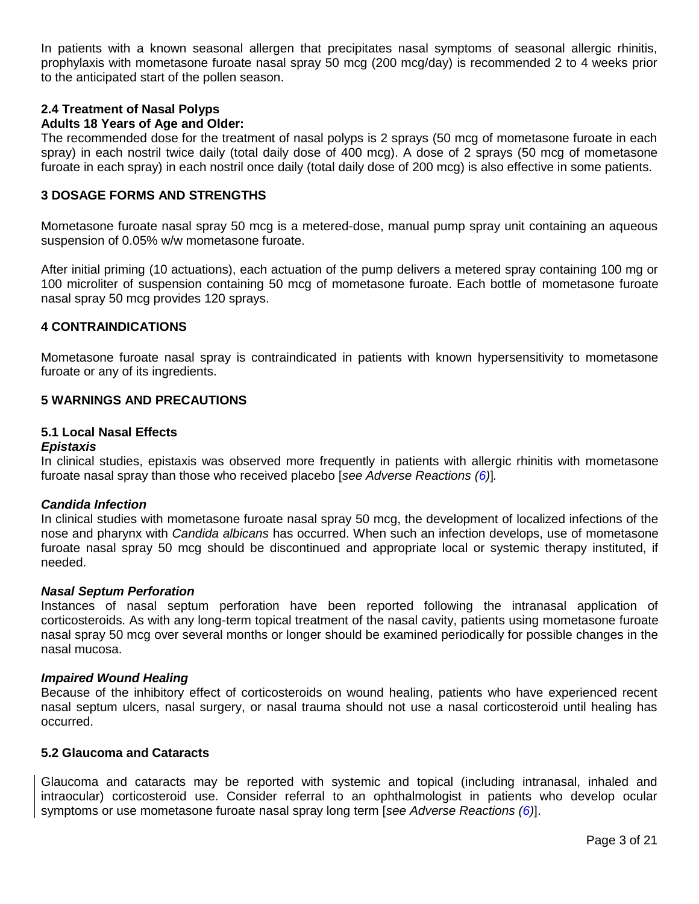In patients with a known seasonal allergen that precipitates nasal symptoms of seasonal allergic rhinitis, prophylaxis with mometasone furoate nasal spray 50 mcg (200 mcg/day) is recommended 2 to 4 weeks prior to the anticipated start of the pollen season.

#### <span id="page-2-1"></span>**2.4 Treatment of Nasal Polyps Adults 18 Years of Age and Older:**

The recommended dose for the treatment of nasal polyps is 2 sprays (50 mcg of mometasone furoate in each spray) in each nostril twice daily (total daily dose of 400 mcg). A dose of 2 sprays (50 mcg of mometasone furoate in each spray) in each nostril once daily (total daily dose of 200 mcg) is also effective in some patients.

### <span id="page-2-2"></span>**3 DOSAGE FORMS AND STRENGTHS**

Mometasone furoate nasal spray 50 mcg is a metered-dose, manual pump spray unit containing an aqueous suspension of 0.05% w/w mometasone furoate.

After initial priming (10 actuations), each actuation of the pump delivers a metered spray containing 100 mg or 100 microliter of suspension containing 50 mcg of mometasone furoate. Each bottle of mometasone furoate nasal spray 50 mcg provides 120 sprays.

### <span id="page-2-3"></span>**4 CONTRAINDICATIONS**

Mometasone furoate nasal spray is contraindicated in patients with known hypersensitivity to mometasone furoate or any of its ingredients.

### <span id="page-2-5"></span>**5 WARNINGS AND PRECAUTIONS**

### <span id="page-2-4"></span>**5.1 Local Nasal Effects**

#### *Epistaxis*

In clinical studies, epistaxis was observed more frequently in patients with allergic rhinitis with mometasone furoate nasal spray than those who received placebo [*see Adverse Reactions [\(6\)](#page-3-3)*]*.* 

### *Candida Infection*

In clinical studies with mometasone furoate nasal spray 50 mcg, the development of localized infections of the nose and pharynx with *Candida albicans* has occurred. When such an infection develops, use of mometasone furoate nasal spray 50 mcg should be discontinued and appropriate local or systemic therapy instituted, if needed.

#### *Nasal Septum Perforation*

Instances of nasal septum perforation have been reported following the intranasal application of corticosteroids. As with any long-term topical treatment of the nasal cavity, patients using mometasone furoate nasal spray 50 mcg over several months or longer should be examined periodically for possible changes in the nasal mucosa.

### *Impaired Wound Healing*

Because of the inhibitory effect of corticosteroids on wound healing, patients who have experienced recent nasal septum ulcers, nasal surgery, or nasal trauma should not use a nasal corticosteroid until healing has occurred.

### <span id="page-2-0"></span>**5.2 Glaucoma and Cataracts**

Glaucoma and cataracts may be reported with systemic and topical (including intranasal, inhaled and intraocular) corticosteroid use. Consider referral to an ophthalmologist in patients who develop ocular symptoms or use mometasone furoate nasal spray long term [*see Adverse Reactions [\(6\)](#page-3-3)*].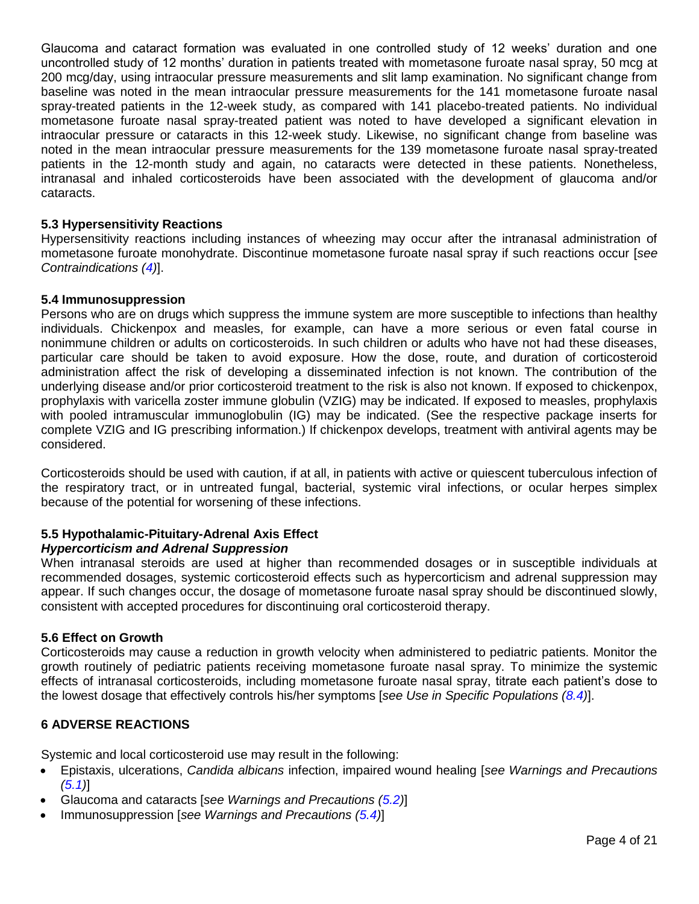Glaucoma and cataract formation was evaluated in one controlled study of 12 weeks' duration and one uncontrolled study of 12 months' duration in patients treated with mometasone furoate nasal spray, 50 mcg at 200 mcg/day, using intraocular pressure measurements and slit lamp examination. No significant change from baseline was noted in the mean intraocular pressure measurements for the 141 mometasone furoate nasal spray-treated patients in the 12-week study, as compared with 141 placebo-treated patients. No individual mometasone furoate nasal spray-treated patient was noted to have developed a significant elevation in intraocular pressure or cataracts in this 12-week study. Likewise, no significant change from baseline was noted in the mean intraocular pressure measurements for the 139 mometasone furoate nasal spray-treated patients in the 12-month study and again, no cataracts were detected in these patients. Nonetheless, intranasal and inhaled corticosteroids have been associated with the development of glaucoma and/or cataracts.

### <span id="page-3-4"></span>**5.3 Hypersensitivity Reactions**

Hypersensitivity reactions including instances of wheezing may occur after the intranasal administration of mometasone furoate monohydrate. Discontinue mometasone furoate nasal spray if such reactions occur [*see Contraindications [\(4\)](#page-2-3)*].

### <span id="page-3-0"></span>**5.4 Immunosuppression**

Persons who are on drugs which suppress the immune system are more susceptible to infections than healthy individuals. Chickenpox and measles, for example, can have a more serious or even fatal course in nonimmune children or adults on corticosteroids. In such children or adults who have not had these diseases, particular care should be taken to avoid exposure. How the dose, route, and duration of corticosteroid administration affect the risk of developing a disseminated infection is not known. The contribution of the underlying disease and/or prior corticosteroid treatment to the risk is also not known. If exposed to chickenpox, prophylaxis with varicella zoster immune globulin (VZIG) may be indicated. If exposed to measles, prophylaxis with pooled intramuscular immunoglobulin (IG) may be indicated. (See the respective package inserts for complete VZIG and IG prescribing information.) If chickenpox develops, treatment with antiviral agents may be considered.

Corticosteroids should be used with caution, if at all, in patients with active or quiescent tuberculous infection of the respiratory tract, or in untreated fungal, bacterial, systemic viral infections, or ocular herpes simplex because of the potential for worsening of these infections.

# <span id="page-3-1"></span>**5.5 Hypothalamic-Pituitary-Adrenal Axis Effect**

# *Hypercorticism and Adrenal Suppression*

When intranasal steroids are used at higher than recommended dosages or in susceptible individuals at recommended dosages, systemic corticosteroid effects such as hypercorticism and adrenal suppression may appear. If such changes occur, the dosage of mometasone furoate nasal spray should be discontinued slowly, consistent with accepted procedures for discontinuing oral corticosteroid therapy.

# <span id="page-3-2"></span>**5.6 Effect on Growth**

Corticosteroids may cause a reduction in growth velocity when administered to pediatric patients. Monitor the growth routinely of pediatric patients receiving mometasone furoate nasal spray. To minimize the systemic effects of intranasal corticosteroids, including mometasone furoate nasal spray, titrate each patient's dose to the lowest dosage that effectively controls his/her symptoms [*see Use in Specific Populations [\(8.4\)](#page-6-0)*].

# <span id="page-3-3"></span>**6 ADVERSE REACTIONS**

Systemic and local corticosteroid use may result in the following:

- Epistaxis, ulcerations, *Candida albicans* infection, impaired wound healing [*see Warnings and Precautions [\(5.1\)](#page-2-4)*]
- Glaucoma and cataracts [*see Warnings and Precautions [\(5.2\)](#page-2-0)*]
- Immunosuppression [*see Warnings and Precautions [\(5.4\)](#page-3-0)*]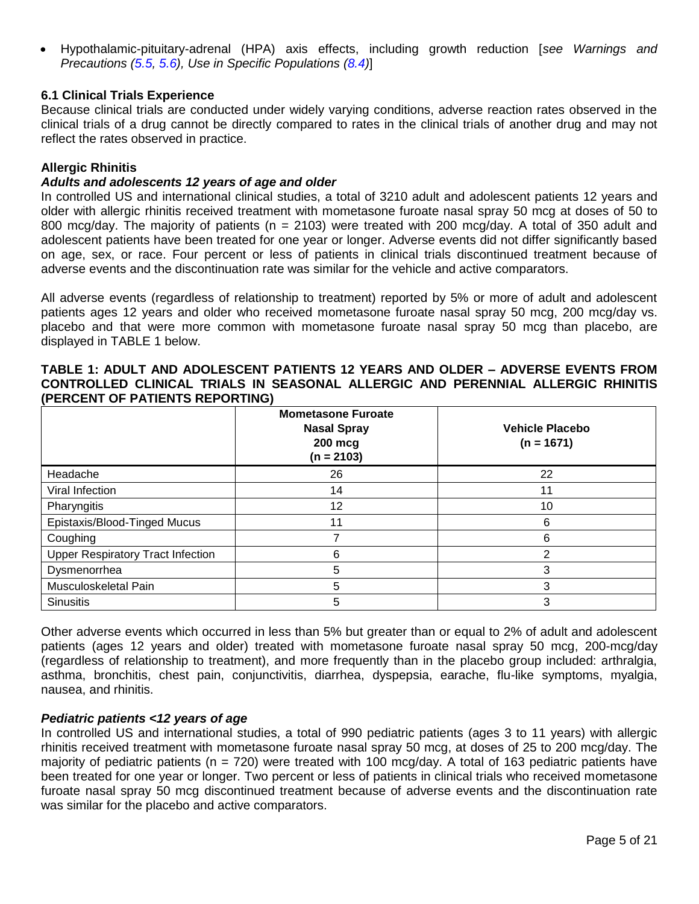Hypothalamic-pituitary-adrenal (HPA) axis effects, including growth reduction [*see Warnings and Precautions [\(5.5,](#page-3-1) [5.6\)](#page-3-2), Use in Specific Populations [\(8.4\)](#page-6-0)*]

### <span id="page-4-0"></span>**6.1 Clinical Trials Experience**

Because clinical trials are conducted under widely varying conditions, adverse reaction rates observed in the clinical trials of a drug cannot be directly compared to rates in the clinical trials of another drug and may not reflect the rates observed in practice.

### **Allergic Rhinitis**

### *Adults and adolescents 12 years of age and older*

In controlled US and international clinical studies, a total of 3210 adult and adolescent patients 12 years and older with allergic rhinitis received treatment with mometasone furoate nasal spray 50 mcg at doses of 50 to 800 mcg/day. The majority of patients (n = 2103) were treated with 200 mcg/day. A total of 350 adult and adolescent patients have been treated for one year or longer. Adverse events did not differ significantly based on age, sex, or race. Four percent or less of patients in clinical trials discontinued treatment because of adverse events and the discontinuation rate was similar for the vehicle and active comparators.

All adverse events (regardless of relationship to treatment) reported by 5% or more of adult and adolescent patients ages 12 years and older who received mometasone furoate nasal spray 50 mcg, 200 mcg/day vs. placebo and that were more common with mometasone furoate nasal spray 50 mcg than placebo, are displayed in TABLE 1 below.

### **TABLE 1: ADULT AND ADOLESCENT PATIENTS 12 YEARS AND OLDER – ADVERSE EVENTS FROM CONTROLLED CLINICAL TRIALS IN SEASONAL ALLERGIC AND PERENNIAL ALLERGIC RHINITIS (PERCENT OF PATIENTS REPORTING)**

|                                          | <b>Mometasone Furoate</b><br><b>Nasal Spray</b><br>200 mcg<br>$(n = 2103)$ | <b>Vehicle Placebo</b><br>$(n = 1671)$ |
|------------------------------------------|----------------------------------------------------------------------------|----------------------------------------|
| Headache                                 | 26                                                                         | 22                                     |
| Viral Infection                          | 14                                                                         | 11                                     |
| Pharyngitis                              | 12                                                                         | 10                                     |
| Epistaxis/Blood-Tinged Mucus             | 11                                                                         | 6                                      |
| Coughing                                 |                                                                            | 6                                      |
| <b>Upper Respiratory Tract Infection</b> | 6                                                                          | 2                                      |
| Dysmenorrhea                             | 5                                                                          | 3                                      |
| Musculoskeletal Pain                     | 5                                                                          | 3                                      |
| <b>Sinusitis</b>                         | 5                                                                          | 3                                      |

Other adverse events which occurred in less than 5% but greater than or equal to 2% of adult and adolescent patients (ages 12 years and older) treated with mometasone furoate nasal spray 50 mcg, 200-mcg/day (regardless of relationship to treatment), and more frequently than in the placebo group included: arthralgia, asthma, bronchitis, chest pain, conjunctivitis, diarrhea, dyspepsia, earache, flu-like symptoms, myalgia, nausea, and rhinitis.

# *Pediatric patients <12 years of age*

In controlled US and international studies, a total of 990 pediatric patients (ages 3 to 11 years) with allergic rhinitis received treatment with mometasone furoate nasal spray 50 mcg, at doses of 25 to 200 mcg/day. The majority of pediatric patients (n = 720) were treated with 100 mcg/day. A total of 163 pediatric patients have been treated for one year or longer. Two percent or less of patients in clinical trials who received mometasone furoate nasal spray 50 mcg discontinued treatment because of adverse events and the discontinuation rate was similar for the placebo and active comparators.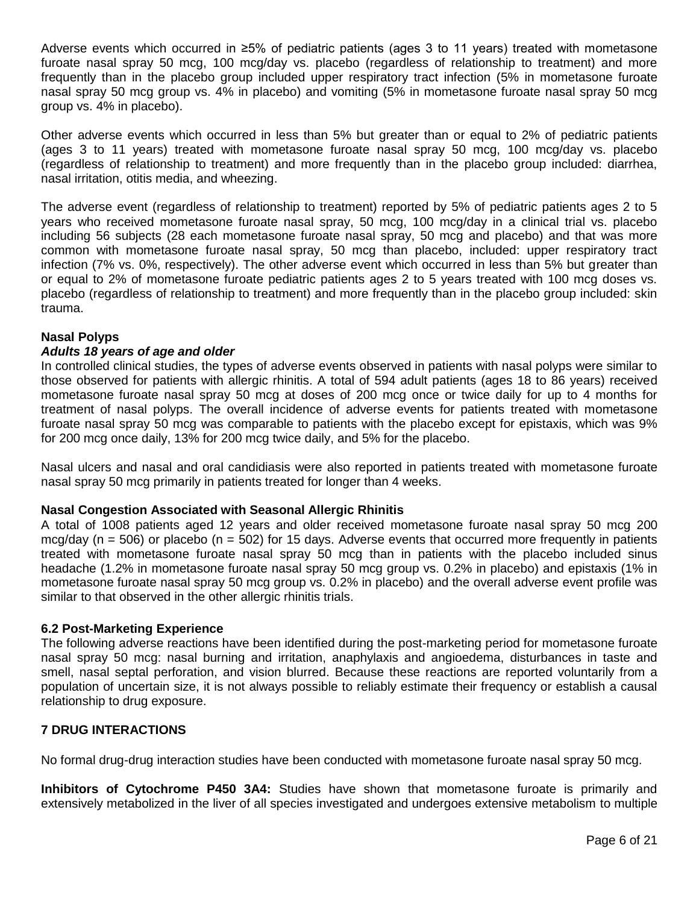Adverse events which occurred in ≥5% of pediatric patients (ages 3 to 11 years) treated with mometasone furoate nasal spray 50 mcg, 100 mcg/day vs. placebo (regardless of relationship to treatment) and more frequently than in the placebo group included upper respiratory tract infection (5% in mometasone furoate nasal spray 50 mcg group vs. 4% in placebo) and vomiting (5% in mometasone furoate nasal spray 50 mcg group vs. 4% in placebo).

Other adverse events which occurred in less than 5% but greater than or equal to 2% of pediatric patients (ages 3 to 11 years) treated with mometasone furoate nasal spray 50 mcg, 100 mcg/day vs. placebo (regardless of relationship to treatment) and more frequently than in the placebo group included: diarrhea, nasal irritation, otitis media, and wheezing.

The adverse event (regardless of relationship to treatment) reported by 5% of pediatric patients ages 2 to 5 years who received mometasone furoate nasal spray, 50 mcg, 100 mcg/day in a clinical trial vs. placebo including 56 subjects (28 each mometasone furoate nasal spray, 50 mcg and placebo) and that was more common with mometasone furoate nasal spray, 50 mcg than placebo, included: upper respiratory tract infection (7% vs. 0%, respectively). The other adverse event which occurred in less than 5% but greater than or equal to 2% of mometasone furoate pediatric patients ages 2 to 5 years treated with 100 mcg doses vs. placebo (regardless of relationship to treatment) and more frequently than in the placebo group included: skin trauma.

# **Nasal Polyps**

### *Adults 18 years of age and older*

In controlled clinical studies, the types of adverse events observed in patients with nasal polyps were similar to those observed for patients with allergic rhinitis. A total of 594 adult patients (ages 18 to 86 years) received mometasone furoate nasal spray 50 mcg at doses of 200 mcg once or twice daily for up to 4 months for treatment of nasal polyps. The overall incidence of adverse events for patients treated with mometasone furoate nasal spray 50 mcg was comparable to patients with the placebo except for epistaxis, which was 9% for 200 mcg once daily, 13% for 200 mcg twice daily, and 5% for the placebo.

Nasal ulcers and nasal and oral candidiasis were also reported in patients treated with mometasone furoate nasal spray 50 mcg primarily in patients treated for longer than 4 weeks.

### **Nasal Congestion Associated with Seasonal Allergic Rhinitis**

A total of 1008 patients aged 12 years and older received mometasone furoate nasal spray 50 mcg 200 mcg/day ( $n = 506$ ) or placebo ( $n = 502$ ) for 15 days. Adverse events that occurred more frequently in patients treated with mometasone furoate nasal spray 50 mcg than in patients with the placebo included sinus headache (1.2% in mometasone furoate nasal spray 50 mcg group vs. 0.2% in placebo) and epistaxis (1% in mometasone furoate nasal spray 50 mcg group vs. 0.2% in placebo) and the overall adverse event profile was similar to that observed in the other allergic rhinitis trials.

### <span id="page-5-0"></span>**6.2 Post-Marketing Experience**

The following adverse reactions have been identified during the post-marketing period for mometasone furoate nasal spray 50 mcg: nasal burning and irritation, anaphylaxis and angioedema, disturbances in taste and smell, nasal septal perforation, and vision blurred. Because these reactions are reported voluntarily from a population of uncertain size, it is not always possible to reliably estimate their frequency or establish a causal relationship to drug exposure.

# <span id="page-5-1"></span>**7 DRUG INTERACTIONS**

No formal drug-drug interaction studies have been conducted with mometasone furoate nasal spray 50 mcg.

**Inhibitors of Cytochrome P450 3A4:** Studies have shown that mometasone furoate is primarily and extensively metabolized in the liver of all species investigated and undergoes extensive metabolism to multiple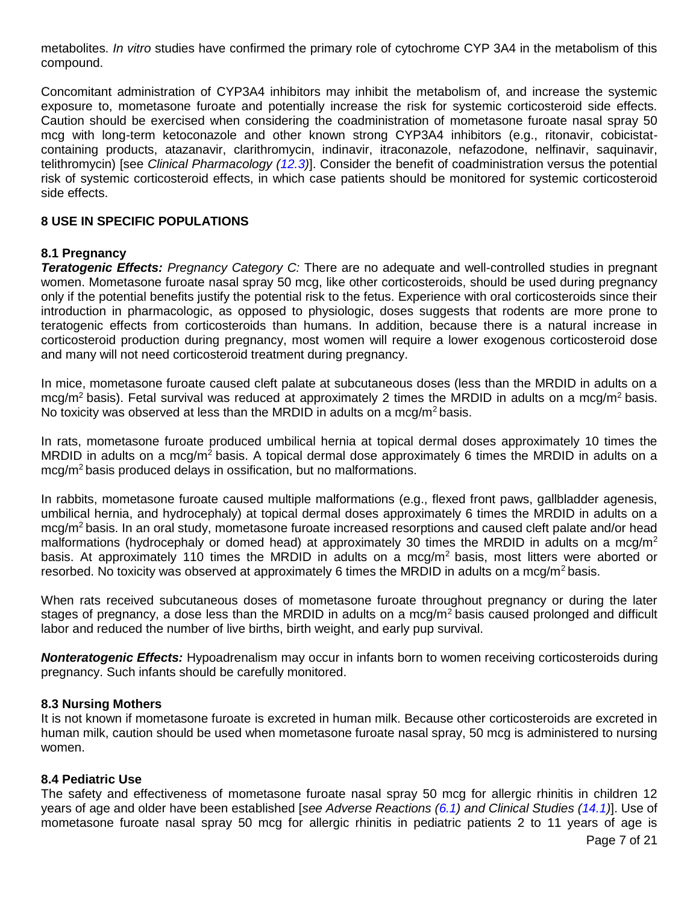metabolites. *In vitro* studies have confirmed the primary role of cytochrome CYP 3A4 in the metabolism of this compound.

Concomitant administration of CYP3A4 inhibitors may inhibit the metabolism of, and increase the systemic exposure to, mometasone furoate and potentially increase the risk for systemic corticosteroid side effects. Caution should be exercised when considering the coadministration of mometasone furoate nasal spray 50 mcg with long-term ketoconazole and other known strong CYP3A4 inhibitors (e.g., ritonavir, cobicistatcontaining products, atazanavir, clarithromycin, indinavir, itraconazole, nefazodone, nelfinavir, saquinavir, telithromycin) [see *Clinical Pharmacology [\(12.3\)](#page-10-0)*]. Consider the benefit of coadministration versus the potential risk of systemic corticosteroid effects, in which case patients should be monitored for systemic corticosteroid side effects.

### <span id="page-6-1"></span>**8 USE IN SPECIFIC POPULATIONS**

### <span id="page-6-2"></span>**8.1 Pregnancy**

*Teratogenic Effects: Pregnancy Category C:* There are no adequate and well-controlled studies in pregnant women. Mometasone furoate nasal spray 50 mcg, like other corticosteroids, should be used during pregnancy only if the potential benefits justify the potential risk to the fetus. Experience with oral corticosteroids since their introduction in pharmacologic, as opposed to physiologic, doses suggests that rodents are more prone to teratogenic effects from corticosteroids than humans. In addition, because there is a natural increase in corticosteroid production during pregnancy, most women will require a lower exogenous corticosteroid dose and many will not need corticosteroid treatment during pregnancy.

In mice, mometasone furoate caused cleft palate at subcutaneous doses (less than the MRDID in adults on a mcg/m<sup>2</sup> basis). Fetal survival was reduced at approximately 2 times the MRDID in adults on a mcg/m<sup>2</sup> basis. No toxicity was observed at less than the MRDID in adults on a mcg/m<sup>2</sup> basis.

In rats, mometasone furoate produced umbilical hernia at topical dermal doses approximately 10 times the MRDID in adults on a mcg/m<sup>2</sup> basis. A topical dermal dose approximately 6 times the MRDID in adults on a mcg/m<sup>2</sup> basis produced delays in ossification, but no malformations.

In rabbits, mometasone furoate caused multiple malformations (e.g., flexed front paws, gallbladder agenesis, umbilical hernia, and hydrocephaly) at topical dermal doses approximately 6 times the MRDID in adults on a mcg/m<sup>2</sup> basis. In an oral study, mometasone furoate increased resorptions and caused cleft palate and/or head malformations (hydrocephaly or domed head) at approximately 30 times the MRDID in adults on a mcq/m<sup>2</sup> basis. At approximately 110 times the MRDID in adults on a mcg/ $m<sup>2</sup>$  basis, most litters were aborted or resorbed. No toxicity was observed at approximately 6 times the MRDID in adults on a mcg/m<sup>2</sup> basis.

When rats received subcutaneous doses of mometasone furoate throughout pregnancy or during the later stages of pregnancy, a dose less than the MRDID in adults on a mcg/ $m<sup>2</sup>$  basis caused prolonged and difficult labor and reduced the number of live births, birth weight, and early pup survival.

*Nonteratogenic Effects:* Hypoadrenalism may occur in infants born to women receiving corticosteroids during pregnancy. Such infants should be carefully monitored.

### <span id="page-6-3"></span>**8.3 Nursing Mothers**

It is not known if mometasone furoate is excreted in human milk. Because other corticosteroids are excreted in human milk, caution should be used when mometasone furoate nasal spray, 50 mcg is administered to nursing women.

### <span id="page-6-0"></span>**8.4 Pediatric Use**

The safety and effectiveness of mometasone furoate nasal spray 50 mcg for allergic rhinitis in children 12 years of age and older have been established [*see Adverse Reactions [\(6.1\)](#page-4-0) and Clinical Studies [\(14.1\)](#page-11-4)*]. Use of mometasone furoate nasal spray 50 mcg for allergic rhinitis in pediatric patients 2 to 11 years of age is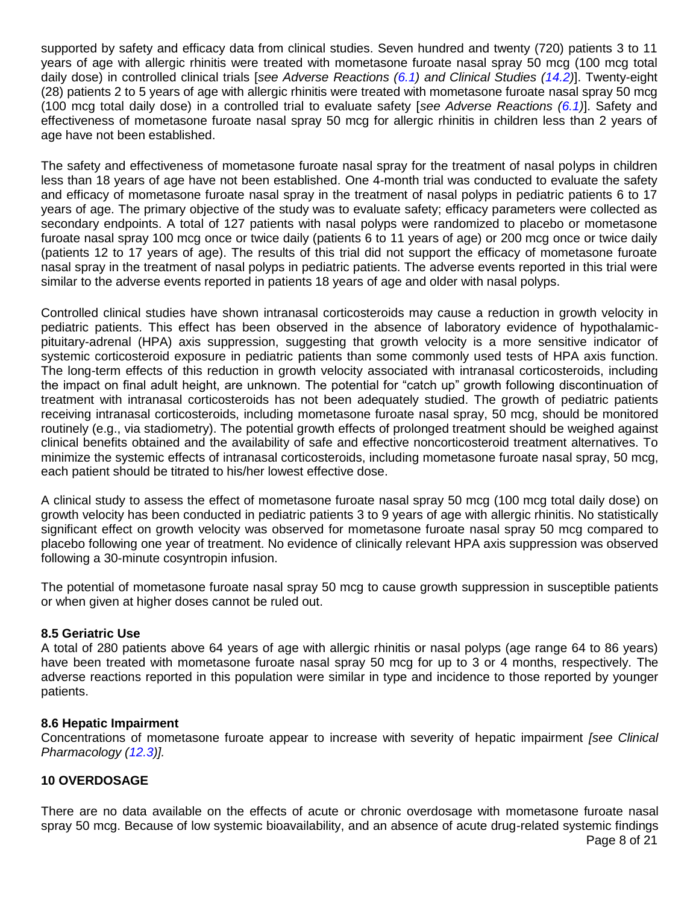supported by safety and efficacy data from clinical studies. Seven hundred and twenty (720) patients 3 to 11 years of age with allergic rhinitis were treated with mometasone furoate nasal spray 50 mcg (100 mcg total daily dose) in controlled clinical trials [*see Adverse Reactions [\(6.1\)](#page-4-0) and Clinical Studies [\(14.2\)](#page-12-0)*]. Twenty-eight (28) patients 2 to 5 years of age with allergic rhinitis were treated with mometasone furoate nasal spray 50 mcg (100 mcg total daily dose) in a controlled trial to evaluate safety [*see Adverse Reactions [\(6.1\)](#page-4-0)*]. Safety and effectiveness of mometasone furoate nasal spray 50 mcg for allergic rhinitis in children less than 2 years of age have not been established.

The safety and effectiveness of mometasone furoate nasal spray for the treatment of nasal polyps in children less than 18 years of age have not been established. One 4-month trial was conducted to evaluate the safety and efficacy of mometasone furoate nasal spray in the treatment of nasal polyps in pediatric patients 6 to 17 years of age. The primary objective of the study was to evaluate safety; efficacy parameters were collected as secondary endpoints. A total of 127 patients with nasal polyps were randomized to placebo or mometasone furoate nasal spray 100 mcg once or twice daily (patients 6 to 11 years of age) or 200 mcg once or twice daily (patients 12 to 17 years of age). The results of this trial did not support the efficacy of mometasone furoate nasal spray in the treatment of nasal polyps in pediatric patients. The adverse events reported in this trial were similar to the adverse events reported in patients 18 years of age and older with nasal polyps.

Controlled clinical studies have shown intranasal corticosteroids may cause a reduction in growth velocity in pediatric patients. This effect has been observed in the absence of laboratory evidence of hypothalamicpituitary-adrenal (HPA) axis suppression, suggesting that growth velocity is a more sensitive indicator of systemic corticosteroid exposure in pediatric patients than some commonly used tests of HPA axis function. The long-term effects of this reduction in growth velocity associated with intranasal corticosteroids, including the impact on final adult height, are unknown. The potential for "catch up" growth following discontinuation of treatment with intranasal corticosteroids has not been adequately studied. The growth of pediatric patients receiving intranasal corticosteroids, including mometasone furoate nasal spray, 50 mcg, should be monitored routinely (e.g., via stadiometry). The potential growth effects of prolonged treatment should be weighed against clinical benefits obtained and the availability of safe and effective noncorticosteroid treatment alternatives. To minimize the systemic effects of intranasal corticosteroids, including mometasone furoate nasal spray, 50 mcg, each patient should be titrated to his/her lowest effective dose.

A clinical study to assess the effect of mometasone furoate nasal spray 50 mcg (100 mcg total daily dose) on growth velocity has been conducted in pediatric patients 3 to 9 years of age with allergic rhinitis. No statistically significant effect on growth velocity was observed for mometasone furoate nasal spray 50 mcg compared to placebo following one year of treatment. No evidence of clinically relevant HPA axis suppression was observed following a 30-minute cosyntropin infusion.

The potential of mometasone furoate nasal spray 50 mcg to cause growth suppression in susceptible patients or when given at higher doses cannot be ruled out.

# <span id="page-7-0"></span>**8.5 Geriatric Use**

A total of 280 patients above 64 years of age with allergic rhinitis or nasal polyps (age range 64 to 86 years) have been treated with mometasone furoate nasal spray 50 mcg for up to 3 or 4 months, respectively. The adverse reactions reported in this population were similar in type and incidence to those reported by younger patients.

### <span id="page-7-1"></span>**8.6 Hepatic Impairment**

Concentrations of mometasone furoate appear to increase with severity of hepatic impairment *[see Clinical Pharmacology [\(12.3\)](#page-10-0)].*

# <span id="page-7-2"></span>**10 OVERDOSAGE**

Page 8 of 21 There are no data available on the effects of acute or chronic overdosage with mometasone furoate nasal spray 50 mcg. Because of low systemic bioavailability, and an absence of acute drug-related systemic findings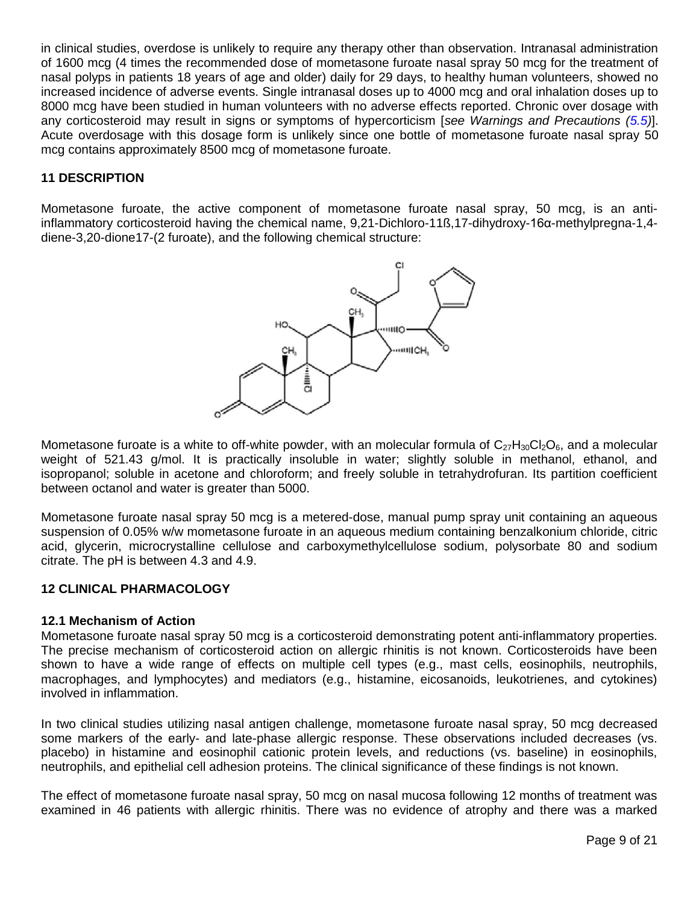in clinical studies, overdose is unlikely to require any therapy other than observation. Intranasal administration of 1600 mcg (4 times the recommended dose of mometasone furoate nasal spray 50 mcg for the treatment of nasal polyps in patients 18 years of age and older) daily for 29 days, to healthy human volunteers, showed no increased incidence of adverse events. Single intranasal doses up to 4000 mcg and oral inhalation doses up to 8000 mcg have been studied in human volunteers with no adverse effects reported. Chronic over dosage with any corticosteroid may result in signs or symptoms of hypercorticism [*see Warnings and Precautions [\(5.5\)](#page-3-1)*]. Acute overdosage with this dosage form is unlikely since one bottle of mometasone furoate nasal spray 50 mcg contains approximately 8500 mcg of mometasone furoate.

# <span id="page-8-0"></span>**11 DESCRIPTION**

Mometasone furoate, the active component of mometasone furoate nasal spray, 50 mcg, is an antiinflammatory corticosteroid having the chemical name, 9,21-Dichloro-11ß,17-dihydroxy-16α-methylpregna-1,4 diene-3,20-dione17-(2 furoate), and the following chemical structure:



Mometasone furoate is a white to off-white powder, with an molecular formula of  $C_{27}H_{30}Cl_2O_6$ , and a molecular weight of 521.43 g/mol. It is practically insoluble in water; slightly soluble in methanol, ethanol, and isopropanol; soluble in acetone and chloroform; and freely soluble in tetrahydrofuran. Its partition coefficient between octanol and water is greater than 5000.

Mometasone furoate nasal spray 50 mcg is a metered-dose, manual pump spray unit containing an aqueous suspension of 0.05% w/w mometasone furoate in an aqueous medium containing benzalkonium chloride, citric acid, glycerin, microcrystalline cellulose and carboxymethylcellulose sodium, polysorbate 80 and sodium citrate. The pH is between 4.3 and 4.9.

# <span id="page-8-1"></span>**12 CLINICAL PHARMACOLOGY**

### <span id="page-8-2"></span>**12.1 Mechanism of Action**

Mometasone furoate nasal spray 50 mcg is a corticosteroid demonstrating potent anti-inflammatory properties. The precise mechanism of corticosteroid action on allergic rhinitis is not known. Corticosteroids have been shown to have a wide range of effects on multiple cell types (e.g., mast cells, eosinophils, neutrophils, macrophages, and lymphocytes) and mediators (e.g., histamine, eicosanoids, leukotrienes, and cytokines) involved in inflammation.

In two clinical studies utilizing nasal antigen challenge, mometasone furoate nasal spray, 50 mcg decreased some markers of the early- and late-phase allergic response. These observations included decreases (vs. placebo) in histamine and eosinophil cationic protein levels, and reductions (vs. baseline) in eosinophils, neutrophils, and epithelial cell adhesion proteins. The clinical significance of these findings is not known.

The effect of mometasone furoate nasal spray, 50 mcg on nasal mucosa following 12 months of treatment was examined in 46 patients with allergic rhinitis. There was no evidence of atrophy and there was a marked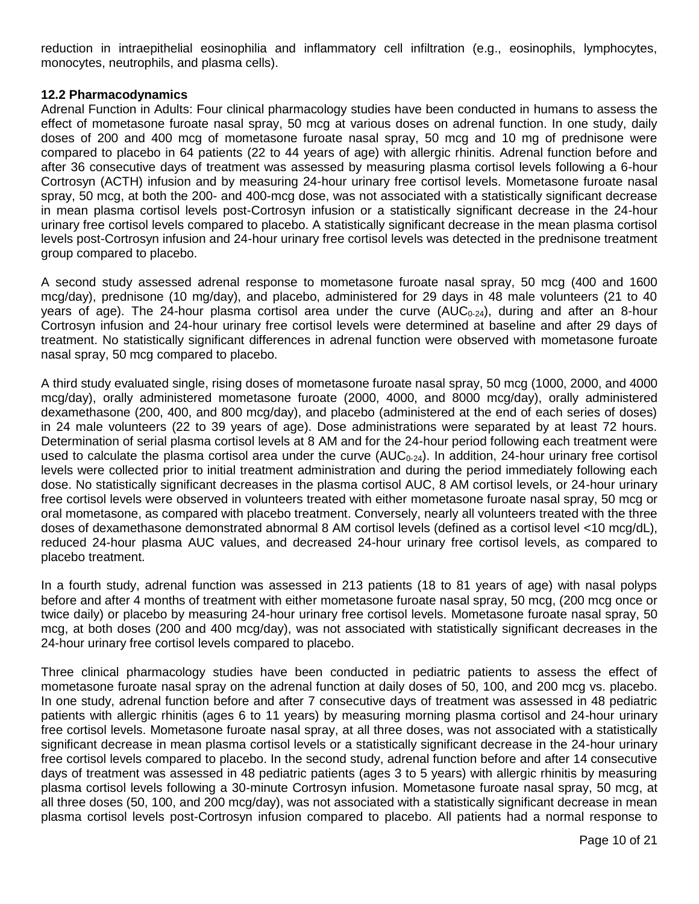reduction in intraepithelial eosinophilia and inflammatory cell infiltration (e.g., eosinophils, lymphocytes, monocytes, neutrophils, and plasma cells).

### <span id="page-9-0"></span>**12.2 Pharmacodynamics**

Adrenal Function in Adults: Four clinical pharmacology studies have been conducted in humans to assess the effect of mometasone furoate nasal spray, 50 mcg at various doses on adrenal function. In one study, daily doses of 200 and 400 mcg of mometasone furoate nasal spray, 50 mcg and 10 mg of prednisone were compared to placebo in 64 patients (22 to 44 years of age) with allergic rhinitis. Adrenal function before and after 36 consecutive days of treatment was assessed by measuring plasma cortisol levels following a 6-hour Cortrosyn (ACTH) infusion and by measuring 24-hour urinary free cortisol levels. Mometasone furoate nasal spray, 50 mcg, at both the 200- and 400-mcg dose, was not associated with a statistically significant decrease in mean plasma cortisol levels post-Cortrosyn infusion or a statistically significant decrease in the 24-hour urinary free cortisol levels compared to placebo. A statistically significant decrease in the mean plasma cortisol levels post-Cortrosyn infusion and 24-hour urinary free cortisol levels was detected in the prednisone treatment group compared to placebo.

A second study assessed adrenal response to mometasone furoate nasal spray, 50 mcg (400 and 1600 mcg/day), prednisone (10 mg/day), and placebo, administered for 29 days in 48 male volunteers (21 to 40 years of age). The 24-hour plasma cortisol area under the curve ( $AUC_{0-24}$ ), during and after an 8-hour Cortrosyn infusion and 24-hour urinary free cortisol levels were determined at baseline and after 29 days of treatment. No statistically significant differences in adrenal function were observed with mometasone furoate nasal spray, 50 mcg compared to placebo.

A third study evaluated single, rising doses of mometasone furoate nasal spray, 50 mcg (1000, 2000, and 4000 mcg/day), orally administered mometasone furoate (2000, 4000, and 8000 mcg/day), orally administered dexamethasone (200, 400, and 800 mcg/day), and placebo (administered at the end of each series of doses) in 24 male volunteers (22 to 39 years of age). Dose administrations were separated by at least 72 hours. Determination of serial plasma cortisol levels at 8 AM and for the 24-hour period following each treatment were used to calculate the plasma cortisol area under the curve  $(AUC_{0.24})$ . In addition, 24-hour urinary free cortisol levels were collected prior to initial treatment administration and during the period immediately following each dose. No statistically significant decreases in the plasma cortisol AUC, 8 AM cortisol levels, or 24-hour urinary free cortisol levels were observed in volunteers treated with either mometasone furoate nasal spray, 50 mcg or oral mometasone, as compared with placebo treatment. Conversely, nearly all volunteers treated with the three doses of dexamethasone demonstrated abnormal 8 AM cortisol levels (defined as a cortisol level <10 mcg/dL), reduced 24-hour plasma AUC values, and decreased 24-hour urinary free cortisol levels, as compared to placebo treatment.

In a fourth study, adrenal function was assessed in 213 patients (18 to 81 years of age) with nasal polyps before and after 4 months of treatment with either mometasone furoate nasal spray, 50 mcg, (200 mcg once or twice daily) or placebo by measuring 24-hour urinary free cortisol levels. Mometasone furoate nasal spray, 50 mcg, at both doses (200 and 400 mcg/day), was not associated with statistically significant decreases in the 24-hour urinary free cortisol levels compared to placebo.

Three clinical pharmacology studies have been conducted in pediatric patients to assess the effect of mometasone furoate nasal spray on the adrenal function at daily doses of 50, 100, and 200 mcg vs. placebo. In one study, adrenal function before and after 7 consecutive days of treatment was assessed in 48 pediatric patients with allergic rhinitis (ages 6 to 11 years) by measuring morning plasma cortisol and 24-hour urinary free cortisol levels. Mometasone furoate nasal spray, at all three doses, was not associated with a statistically significant decrease in mean plasma cortisol levels or a statistically significant decrease in the 24-hour urinary free cortisol levels compared to placebo. In the second study, adrenal function before and after 14 consecutive days of treatment was assessed in 48 pediatric patients (ages 3 to 5 years) with allergic rhinitis by measuring plasma cortisol levels following a 30-minute Cortrosyn infusion. Mometasone furoate nasal spray, 50 mcg, at all three doses (50, 100, and 200 mcg/day), was not associated with a statistically significant decrease in mean plasma cortisol levels post-Cortrosyn infusion compared to placebo. All patients had a normal response to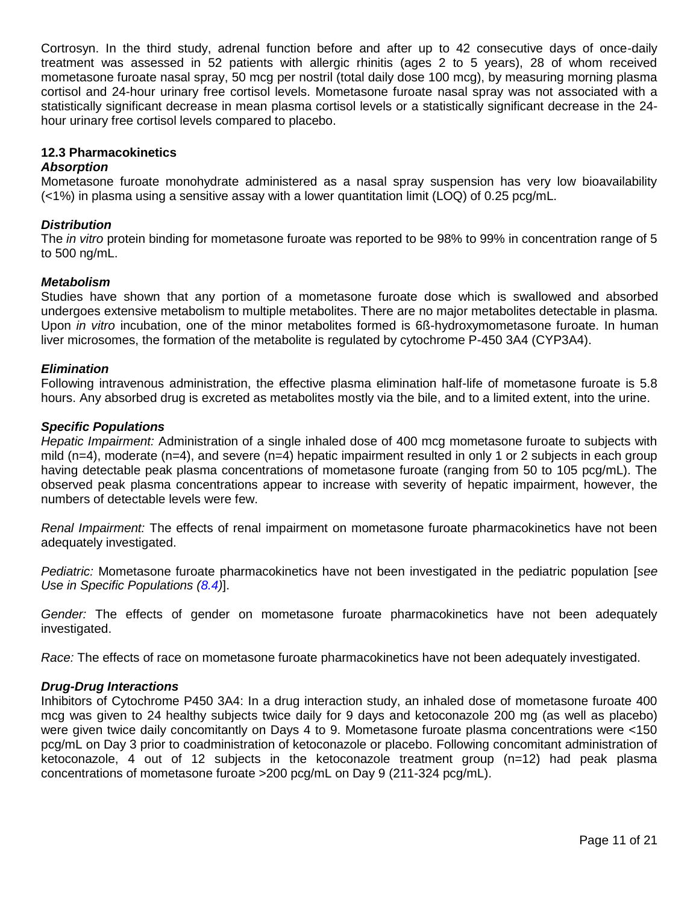Cortrosyn. In the third study, adrenal function before and after up to 42 consecutive days of once-daily treatment was assessed in 52 patients with allergic rhinitis (ages 2 to 5 years), 28 of whom received mometasone furoate nasal spray, 50 mcg per nostril (total daily dose 100 mcg), by measuring morning plasma cortisol and 24-hour urinary free cortisol levels. Mometasone furoate nasal spray was not associated with a statistically significant decrease in mean plasma cortisol levels or a statistically significant decrease in the 24 hour urinary free cortisol levels compared to placebo.

### <span id="page-10-0"></span>**12.3 Pharmacokinetics**

### *Absorption*

Mometasone furoate monohydrate administered as a nasal spray suspension has very low bioavailability (<1%) in plasma using a sensitive assay with a lower quantitation limit (LOQ) of 0.25 pcg/mL.

#### *Distribution*

The *in vitro* protein binding for mometasone furoate was reported to be 98% to 99% in concentration range of 5 to 500 ng/mL.

#### *Metabolism*

Studies have shown that any portion of a mometasone furoate dose which is swallowed and absorbed undergoes extensive metabolism to multiple metabolites. There are no major metabolites detectable in plasma. Upon *in vitro* incubation, one of the minor metabolites formed is 6ß-hydroxymometasone furoate. In human liver microsomes, the formation of the metabolite is regulated by cytochrome P-450 3A4 (CYP3A4).

#### *Elimination*

Following intravenous administration, the effective plasma elimination half-life of mometasone furoate is 5.8 hours. Any absorbed drug is excreted as metabolites mostly via the bile, and to a limited extent, into the urine.

#### *Specific Populations*

*Hepatic Impairment:* Administration of a single inhaled dose of 400 mcg mometasone furoate to subjects with mild (n=4), moderate (n=4), and severe (n=4) hepatic impairment resulted in only 1 or 2 subjects in each group having detectable peak plasma concentrations of mometasone furoate (ranging from 50 to 105 pcg/mL). The observed peak plasma concentrations appear to increase with severity of hepatic impairment, however, the numbers of detectable levels were few.

*Renal Impairment:* The effects of renal impairment on mometasone furoate pharmacokinetics have not been adequately investigated.

*Pediatric:* Mometasone furoate pharmacokinetics have not been investigated in the pediatric population [*see Use in Specific Populations [\(8.4\)](#page-6-0)*].

*Gender:* The effects of gender on mometasone furoate pharmacokinetics have not been adequately investigated.

*Race:* The effects of race on mometasone furoate pharmacokinetics have not been adequately investigated.

### *Drug-Drug Interactions*

Inhibitors of Cytochrome P450 3A4: In a drug interaction study, an inhaled dose of mometasone furoate 400 mcg was given to 24 healthy subjects twice daily for 9 days and ketoconazole 200 mg (as well as placebo) were given twice daily concomitantly on Days 4 to 9. Mometasone furoate plasma concentrations were <150 pcg/mL on Day 3 prior to coadministration of ketoconazole or placebo. Following concomitant administration of ketoconazole, 4 out of 12 subjects in the ketoconazole treatment group (n=12) had peak plasma concentrations of mometasone furoate >200 pcg/mL on Day 9 (211-324 pcg/mL).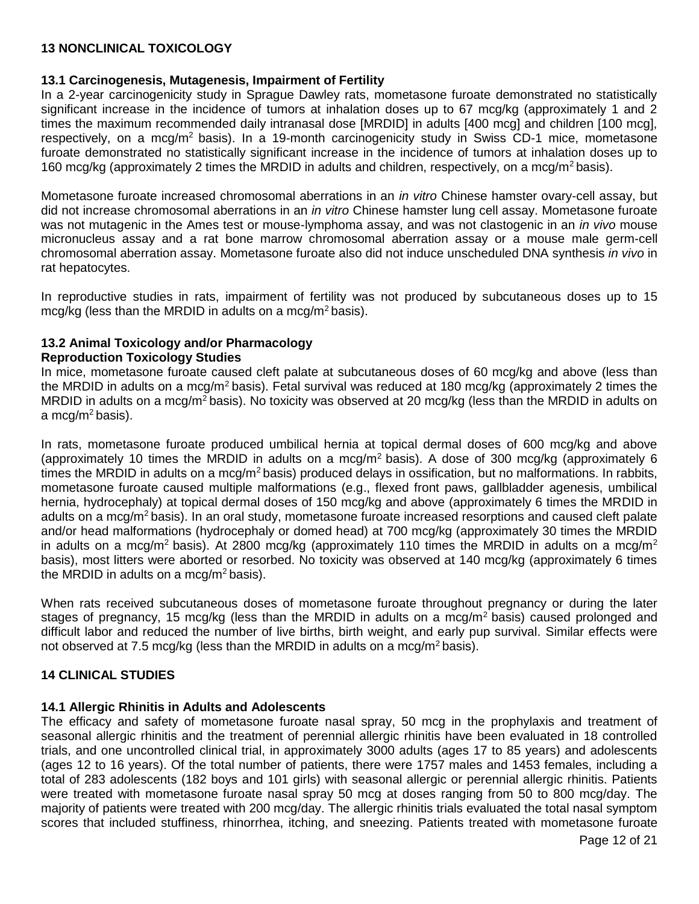# <span id="page-11-0"></span>**13 NONCLINICAL TOXICOLOGY**

### <span id="page-11-1"></span>**13.1 Carcinogenesis, Mutagenesis, Impairment of Fertility**

In a 2-year carcinogenicity study in Sprague Dawley rats, mometasone furoate demonstrated no statistically significant increase in the incidence of tumors at inhalation doses up to 67 mcg/kg (approximately 1 and 2 times the maximum recommended daily intranasal dose [MRDID] in adults [400 mcg] and children [100 mcg], respectively, on a mcg/m<sup>2</sup> basis). In a 19-month carcinogenicity study in Swiss CD-1 mice, mometasone furoate demonstrated no statistically significant increase in the incidence of tumors at inhalation doses up to 160 mcg/kg (approximately 2 times the MRDID in adults and children, respectively, on a mcg/m<sup>2</sup> basis).

Mometasone furoate increased chromosomal aberrations in an *in vitro* Chinese hamster ovary-cell assay, but did not increase chromosomal aberrations in an *in vitro* Chinese hamster lung cell assay. Mometasone furoate was not mutagenic in the Ames test or mouse-lymphoma assay, and was not clastogenic in an *in vivo* mouse micronucleus assay and a rat bone marrow chromosomal aberration assay or a mouse male germ-cell chromosomal aberration assay. Mometasone furoate also did not induce unscheduled DNA synthesis *in vivo* in rat hepatocytes.

In reproductive studies in rats, impairment of fertility was not produced by subcutaneous doses up to 15 mcg/kg (less than the MRDID in adults on a mcg/m<sup>2</sup> basis).

# <span id="page-11-2"></span>**13.2 Animal Toxicology and/or Pharmacology**

### **Reproduction Toxicology Studies**

In mice, mometasone furoate caused cleft palate at subcutaneous doses of 60 mcg/kg and above (less than the MRDID in adults on a mcg/m<sup>2</sup> basis). Fetal survival was reduced at 180 mcg/kg (approximately 2 times the MRDID in adults on a mcg/m<sup>2</sup> basis). No toxicity was observed at 20 mcg/kg (less than the MRDID in adults on a mcg/m<sup>2</sup> basis).

In rats, mometasone furoate produced umbilical hernia at topical dermal doses of 600 mcg/kg and above (approximately 10 times the MRDID in adults on a mcg/m<sup>2</sup> basis). A dose of 300 mcg/kg (approximately 6 times the MRDID in adults on a mcg/m<sup>2</sup> basis) produced delays in ossification, but no malformations. In rabbits, mometasone furoate caused multiple malformations (e.g., flexed front paws, gallbladder agenesis, umbilical hernia, hydrocephaly) at topical dermal doses of 150 mcg/kg and above (approximately 6 times the MRDID in adults on a mcg/m<sup>2</sup> basis). In an oral study, mometasone furoate increased resorptions and caused cleft palate and/or head malformations (hydrocephaly or domed head) at 700 mcg/kg (approximately 30 times the MRDID in adults on a mcg/m<sup>2</sup> basis). At 2800 mcg/kg (approximately 110 times the MRDID in adults on a mcg/m<sup>2</sup> basis), most litters were aborted or resorbed. No toxicity was observed at 140 mcg/kg (approximately 6 times the MRDID in adults on a mcg/m<sup>2</sup> basis).

When rats received subcutaneous doses of mometasone furoate throughout pregnancy or during the later stages of pregnancy, 15 mcg/kg (less than the MRDID in adults on a mcg/m<sup>2</sup> basis) caused prolonged and difficult labor and reduced the number of live births, birth weight, and early pup survival. Similar effects were not observed at 7.5 mcg/kg (less than the MRDID in adults on a mcg/m<sup>2</sup> basis).

# <span id="page-11-3"></span>**14 CLINICAL STUDIES**

### <span id="page-11-4"></span>**14.1 Allergic Rhinitis in Adults and Adolescents**

The efficacy and safety of mometasone furoate nasal spray, 50 mcg in the prophylaxis and treatment of seasonal allergic rhinitis and the treatment of perennial allergic rhinitis have been evaluated in 18 controlled trials, and one uncontrolled clinical trial, in approximately 3000 adults (ages 17 to 85 years) and adolescents (ages 12 to 16 years). Of the total number of patients, there were 1757 males and 1453 females, including a total of 283 adolescents (182 boys and 101 girls) with seasonal allergic or perennial allergic rhinitis. Patients were treated with mometasone furoate nasal spray 50 mcg at doses ranging from 50 to 800 mcg/day. The majority of patients were treated with 200 mcg/day. The allergic rhinitis trials evaluated the total nasal symptom scores that included stuffiness, rhinorrhea, itching, and sneezing. Patients treated with mometasone furoate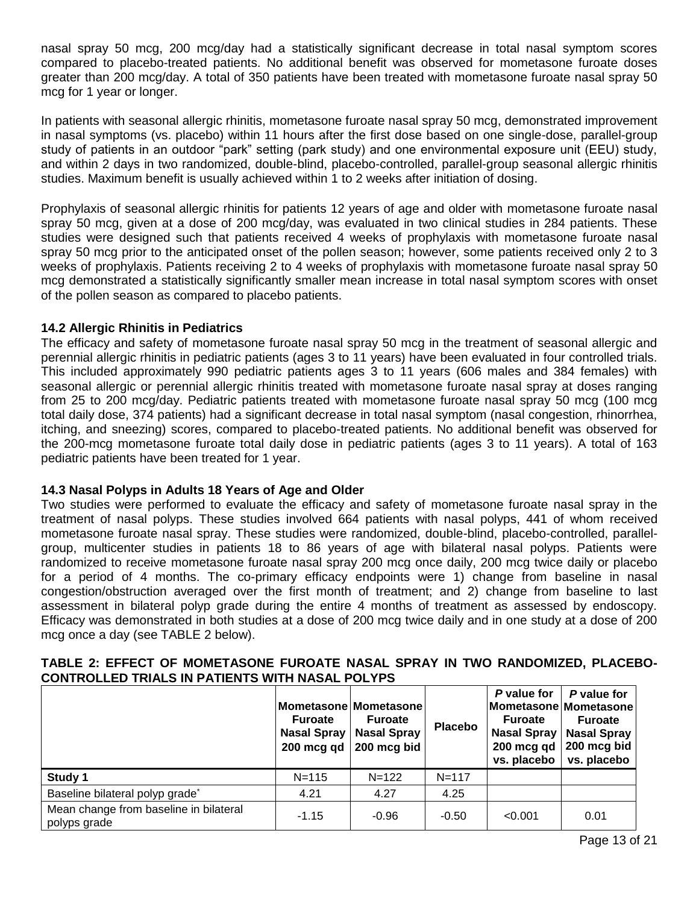nasal spray 50 mcg, 200 mcg/day had a statistically significant decrease in total nasal symptom scores compared to placebo-treated patients. No additional benefit was observed for mometasone furoate doses greater than 200 mcg/day. A total of 350 patients have been treated with mometasone furoate nasal spray 50 mcg for 1 year or longer.

In patients with seasonal allergic rhinitis, mometasone furoate nasal spray 50 mcg, demonstrated improvement in nasal symptoms (vs. placebo) within 11 hours after the first dose based on one single-dose, parallel-group study of patients in an outdoor "park" setting (park study) and one environmental exposure unit (EEU) study, and within 2 days in two randomized, double-blind, placebo-controlled, parallel-group seasonal allergic rhinitis studies. Maximum benefit is usually achieved within 1 to 2 weeks after initiation of dosing.

Prophylaxis of seasonal allergic rhinitis for patients 12 years of age and older with mometasone furoate nasal spray 50 mcg, given at a dose of 200 mcg/day, was evaluated in two clinical studies in 284 patients. These studies were designed such that patients received 4 weeks of prophylaxis with mometasone furoate nasal spray 50 mcg prior to the anticipated onset of the pollen season; however, some patients received only 2 to 3 weeks of prophylaxis. Patients receiving 2 to 4 weeks of prophylaxis with mometasone furoate nasal spray 50 mcg demonstrated a statistically significantly smaller mean increase in total nasal symptom scores with onset of the pollen season as compared to placebo patients.

# <span id="page-12-0"></span>**14.2 Allergic Rhinitis in Pediatrics**

The efficacy and safety of mometasone furoate nasal spray 50 mcg in the treatment of seasonal allergic and perennial allergic rhinitis in pediatric patients (ages 3 to 11 years) have been evaluated in four controlled trials. This included approximately 990 pediatric patients ages 3 to 11 years (606 males and 384 females) with seasonal allergic or perennial allergic rhinitis treated with mometasone furoate nasal spray at doses ranging from 25 to 200 mcg/day. Pediatric patients treated with mometasone furoate nasal spray 50 mcg (100 mcg total daily dose, 374 patients) had a significant decrease in total nasal symptom (nasal congestion, rhinorrhea, itching, and sneezing) scores, compared to placebo-treated patients. No additional benefit was observed for the 200-mcg mometasone furoate total daily dose in pediatric patients (ages 3 to 11 years). A total of 163 pediatric patients have been treated for 1 year.

# <span id="page-12-1"></span>**14.3 Nasal Polyps in Adults 18 Years of Age and Older**

Two studies were performed to evaluate the efficacy and safety of mometasone furoate nasal spray in the treatment of nasal polyps. These studies involved 664 patients with nasal polyps, 441 of whom received mometasone furoate nasal spray. These studies were randomized, double-blind, placebo-controlled, parallelgroup, multicenter studies in patients 18 to 86 years of age with bilateral nasal polyps. Patients were randomized to receive mometasone furoate nasal spray 200 mcg once daily, 200 mcg twice daily or placebo for a period of 4 months. The co-primary efficacy endpoints were 1) change from baseline in nasal congestion/obstruction averaged over the first month of treatment; and 2) change from baseline to last assessment in bilateral polyp grade during the entire 4 months of treatment as assessed by endoscopy. Efficacy was demonstrated in both studies at a dose of 200 mcg twice daily and in one study at a dose of 200 mcg once a day (see TABLE 2 below).

|                                                        | <b>Furoate</b><br><b>Nasal Spray</b><br>200 mcg gd | Mometasone Mometasone<br><b>Furoate</b><br><b>Nasal Spray</b><br>200 mcg bid | <b>Placebo</b> | P value for<br>Mometasone Mometasone<br><b>Furoate</b><br><b>Nasal Spray</b><br>200 mcg qd<br>vs. placebo | P value for<br><b>Furoate</b><br><b>Nasal Spray</b><br>200 mcg bid<br>vs. placebo |
|--------------------------------------------------------|----------------------------------------------------|------------------------------------------------------------------------------|----------------|-----------------------------------------------------------------------------------------------------------|-----------------------------------------------------------------------------------|
| Study 1                                                | $N = 115$                                          | $N = 122$                                                                    | $N = 117$      |                                                                                                           |                                                                                   |
| Baseline bilateral polyp grade <sup>*</sup>            | 4.21                                               | 4.27                                                                         | 4.25           |                                                                                                           |                                                                                   |
| Mean change from baseline in bilateral<br>polyps grade | $-1.15$                                            | $-0.96$                                                                      | $-0.50$        | < 0.001                                                                                                   | 0.01                                                                              |

# **TABLE 2: EFFECT OF MOMETASONE FUROATE NASAL SPRAY IN TWO RANDOMIZED, PLACEBO-CONTROLLED TRIALS IN PATIENTS WITH NASAL POLYPS**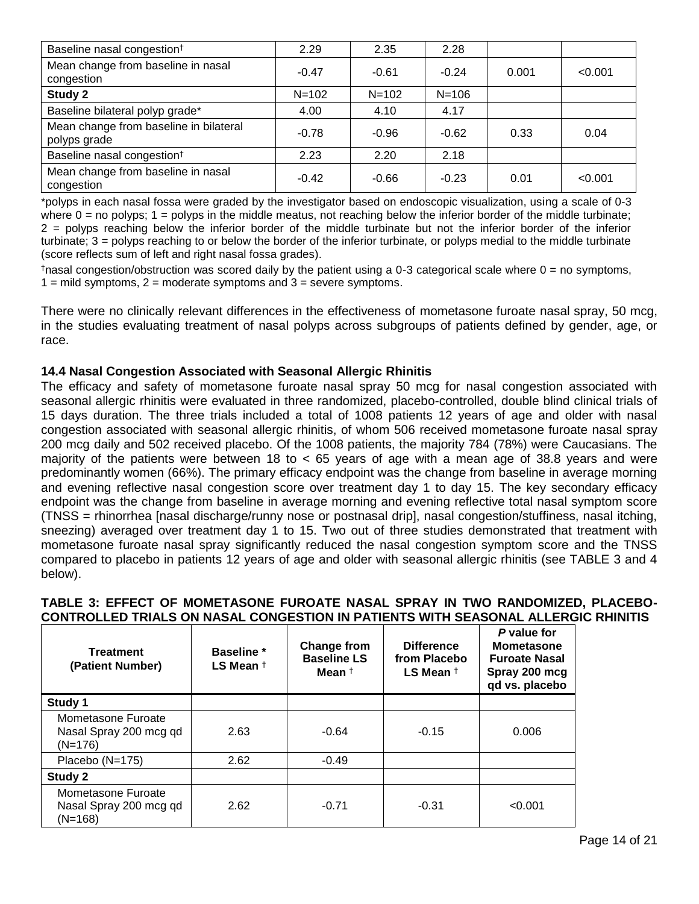| Baseline nasal congestion <sup>t</sup>                 | 2.29      | 2.35      | 2.28      |       |         |
|--------------------------------------------------------|-----------|-----------|-----------|-------|---------|
| Mean change from baseline in nasal<br>congestion       | $-0.47$   | $-0.61$   | $-0.24$   | 0.001 | < 0.001 |
| Study 2                                                | $N = 102$ | $N = 102$ | $N = 106$ |       |         |
| Baseline bilateral polyp grade*                        | 4.00      | 4.10      | 4.17      |       |         |
| Mean change from baseline in bilateral<br>polyps grade | $-0.78$   | $-0.96$   | $-0.62$   | 0.33  | 0.04    |
| Baseline nasal congestion <sup>t</sup>                 | 2.23      | 2.20      | 2.18      |       |         |
| Mean change from baseline in nasal<br>congestion       | $-0.42$   | $-0.66$   | $-0.23$   | 0.01  | < 0.001 |

\*polyps in each nasal fossa were graded by the investigator based on endoscopic visualization, using a scale of 0-3 where  $0 =$  no polyps;  $1 =$  polyps in the middle meatus, not reaching below the inferior border of the middle turbinate; 2 = polyps reaching below the inferior border of the middle turbinate but not the inferior border of the inferior turbinate; 3 = polyps reaching to or below the border of the inferior turbinate, or polyps medial to the middle turbinate (score reflects sum of left and right nasal fossa grades).

 $\dagger$ nasal congestion/obstruction was scored daily by the patient using a 0-3 categorical scale where  $0 =$  no symptoms,  $1 =$  mild symptoms,  $2 =$  moderate symptoms and  $3 =$  severe symptoms.

There were no clinically relevant differences in the effectiveness of mometasone furoate nasal spray, 50 mcg, in the studies evaluating treatment of nasal polyps across subgroups of patients defined by gender, age, or race.

# <span id="page-13-0"></span>**14.4 Nasal Congestion Associated with Seasonal Allergic Rhinitis**

The efficacy and safety of mometasone furoate nasal spray 50 mcg for nasal congestion associated with seasonal allergic rhinitis were evaluated in three randomized, placebo-controlled, double blind clinical trials of 15 days duration. The three trials included a total of 1008 patients 12 years of age and older with nasal congestion associated with seasonal allergic rhinitis, of whom 506 received mometasone furoate nasal spray 200 mcg daily and 502 received placebo. Of the 1008 patients, the majority 784 (78%) were Caucasians. The majority of the patients were between 18 to  $<$  65 years of age with a mean age of 38.8 years and were predominantly women (66%). The primary efficacy endpoint was the change from baseline in average morning and evening reflective nasal congestion score over treatment day 1 to day 15. The key secondary efficacy endpoint was the change from baseline in average morning and evening reflective total nasal symptom score (TNSS = rhinorrhea [nasal discharge/runny nose or postnasal drip], nasal congestion/stuffiness, nasal itching, sneezing) averaged over treatment day 1 to 15. Two out of three studies demonstrated that treatment with mometasone furoate nasal spray significantly reduced the nasal congestion symptom score and the TNSS compared to placebo in patients 12 years of age and older with seasonal allergic rhinitis (see TABLE 3 and 4 below).

# **TABLE 3: EFFECT OF MOMETASONE FUROATE NASAL SPRAY IN TWO RANDOMIZED, PLACEBO-CONTROLLED TRIALS ON NASAL CONGESTION IN PATIENTS WITH SEASONAL ALLERGIC RHINITIS**

| <b>Treatment</b><br>(Patient Number)                      | <b>Baseline</b> *<br>LS Mean $\dagger$ | Change from<br><b>Baseline LS</b><br>Mean <sup>†</sup> | <b>Difference</b><br>from Placebo<br>LS Mean $†$ | P value for<br><b>Mometasone</b><br><b>Furoate Nasal</b><br>Spray 200 mcg<br>qd vs. placebo |
|-----------------------------------------------------------|----------------------------------------|--------------------------------------------------------|--------------------------------------------------|---------------------------------------------------------------------------------------------|
| Study 1                                                   |                                        |                                                        |                                                  |                                                                                             |
| Mometasone Furoate<br>Nasal Spray 200 mcg qd<br>$(N=176)$ | 2.63                                   | $-0.64$                                                | $-0.15$                                          | 0.006                                                                                       |
| Placebo (N=175)                                           | 2.62                                   | $-0.49$                                                |                                                  |                                                                                             |
| Study 2                                                   |                                        |                                                        |                                                  |                                                                                             |
| Mometasone Furoate<br>Nasal Spray 200 mcg qd<br>$(N=168)$ | 2.62                                   | $-0.71$                                                | $-0.31$                                          | < 0.001                                                                                     |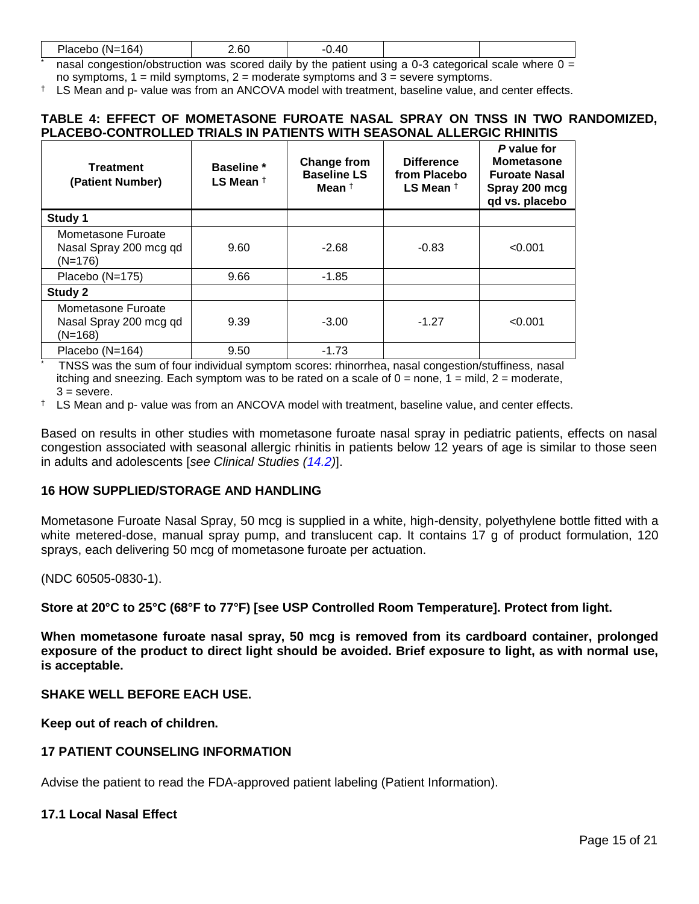| Placebu.<br>-164.<br>'N= . | $\sim$<br>.o∪<br>___ | $\overline{ }$<br>— τω<br>__ |     |  |
|----------------------------|----------------------|------------------------------|-----|--|
|                            |                      |                              | ~ ~ |  |

nasal congestion/obstruction was scored daily by the patient using a 0-3 categorical scale where  $0 =$ no symptoms,  $1 =$  mild symptoms,  $2 =$  moderate symptoms and  $3 =$  severe symptoms.

† LS Mean and p- value was from an ANCOVA model with treatment, baseline value, and center effects.

### **TABLE 4: EFFECT OF MOMETASONE FUROATE NASAL SPRAY ON TNSS IN TWO RANDOMIZED, PLACEBO-CONTROLLED TRIALS IN PATIENTS WITH SEASONAL ALLERGIC RHINITIS**

| Treatment<br>(Patient Number)                             | <b>Baseline</b> *<br>LS Mean $†$ | <b>Change from</b><br><b>Baseline LS</b><br>Mean † | <b>Difference</b><br>from Placebo<br>LS Mean $†$ | P value for<br><b>Mometasone</b><br><b>Furoate Nasal</b><br>Spray 200 mcg<br>qd vs. placebo |
|-----------------------------------------------------------|----------------------------------|----------------------------------------------------|--------------------------------------------------|---------------------------------------------------------------------------------------------|
| Study 1                                                   |                                  |                                                    |                                                  |                                                                                             |
| Mometasone Furoate<br>Nasal Spray 200 mcg qd<br>$(N=176)$ | 9.60                             | $-2.68$                                            | $-0.83$                                          | < 0.001                                                                                     |
| Placebo (N=175)                                           | 9.66                             | $-1.85$                                            |                                                  |                                                                                             |
| Study 2                                                   |                                  |                                                    |                                                  |                                                                                             |
| Mometasone Furoate<br>Nasal Spray 200 mcg qd<br>$(N=168)$ | 9.39                             | $-3.00$                                            | $-1.27$                                          | < 0.001                                                                                     |
| Placebo $(N=164)$                                         | 9.50                             | $-1.73$                                            |                                                  |                                                                                             |

\* TNSS was the sum of four individual symptom scores: rhinorrhea, nasal congestion/stuffiness, nasal itching and sneezing. Each symptom was to be rated on a scale of  $0 =$  none,  $1 =$  mild,  $2 =$  moderate,  $3 =$  severe.

† LS Mean and p- value was from an ANCOVA model with treatment, baseline value, and center effects.

Based on results in other studies with mometasone furoate nasal spray in pediatric patients, effects on nasal congestion associated with seasonal allergic rhinitis in patients below 12 years of age is similar to those seen in adults and adolescents [*see Clinical Studies [\(14.2\)](#page-12-0)*].

# <span id="page-14-0"></span>**16 HOW SUPPLIED/STORAGE AND HANDLING**

Mometasone Furoate Nasal Spray, 50 mcg is supplied in a white, high-density, polyethylene bottle fitted with a white metered-dose, manual spray pump, and translucent cap. It contains 17 g of product formulation, 120 sprays, each delivering 50 mcg of mometasone furoate per actuation.

(NDC 60505-0830-1).

**Store at 20°C to 25°C (68°F to 77°F) [see USP Controlled Room Temperature]. Protect from light.** 

**When mometasone furoate nasal spray, 50 mcg is removed from its cardboard container, prolonged exposure of the product to direct light should be avoided. Brief exposure to light, as with normal use, is acceptable.** 

**SHAKE WELL BEFORE EACH USE.** 

**Keep out of reach of children.**

### <span id="page-14-1"></span>**17 PATIENT COUNSELING INFORMATION**

Advise the patient to read the FDA-approved patient labeling (Patient Information).

### <span id="page-14-2"></span>**17.1 Local Nasal Effect**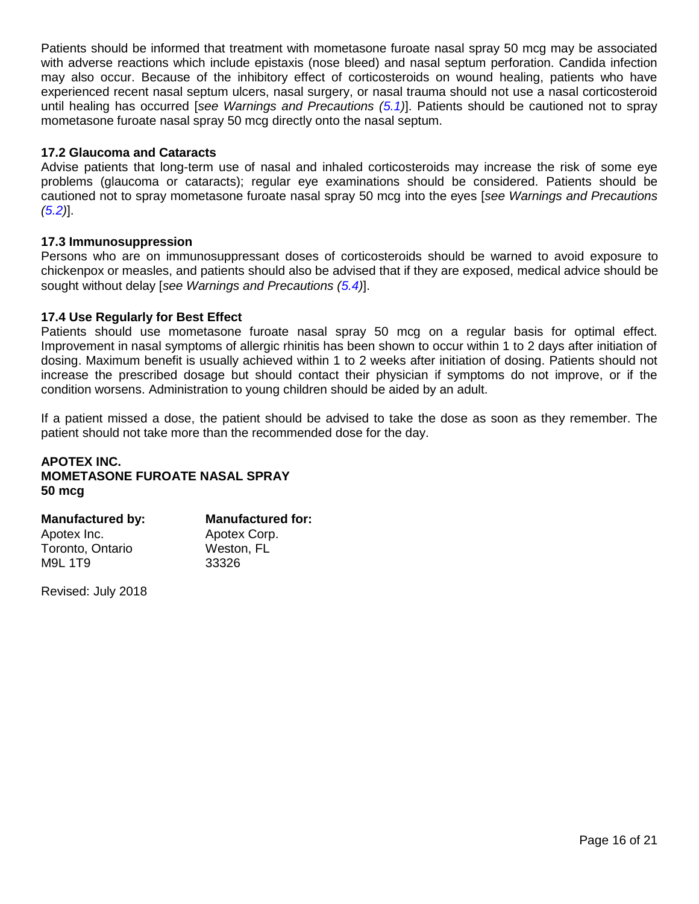Patients should be informed that treatment with mometasone furoate nasal spray 50 mcg may be associated with adverse reactions which include epistaxis (nose bleed) and nasal septum perforation. Candida infection may also occur. Because of the inhibitory effect of corticosteroids on wound healing, patients who have experienced recent nasal septum ulcers, nasal surgery, or nasal trauma should not use a nasal corticosteroid until healing has occurred [*see Warnings and Precautions [\(5.1\)](#page-2-4)*]. Patients should be cautioned not to spray mometasone furoate nasal spray 50 mcg directly onto the nasal septum.

### <span id="page-15-0"></span>**17.2 Glaucoma and Cataracts**

Advise patients that long-term use of nasal and inhaled corticosteroids may increase the risk of some eye problems (glaucoma or cataracts); regular eye examinations should be considered. Patients should be cautioned not to spray mometasone furoate nasal spray 50 mcg into the eyes [*see Warnings and Precautions [\(5.2\)](#page-2-0)*].

### <span id="page-15-1"></span>**17.3 Immunosuppression**

Persons who are on immunosuppressant doses of corticosteroids should be warned to avoid exposure to chickenpox or measles, and patients should also be advised that if they are exposed, medical advice should be sought without delay [*see Warnings and Precautions [\(5.4\)](#page-3-0)*].

### <span id="page-15-2"></span>**17.4 Use Regularly for Best Effect**

Patients should use mometasone furoate nasal spray 50 mcg on a regular basis for optimal effect. Improvement in nasal symptoms of allergic rhinitis has been shown to occur within 1 to 2 days after initiation of dosing. Maximum benefit is usually achieved within 1 to 2 weeks after initiation of dosing. Patients should not increase the prescribed dosage but should contact their physician if symptoms do not improve, or if the condition worsens. Administration to young children should be aided by an adult.

If a patient missed a dose, the patient should be advised to take the dose as soon as they remember. The patient should not take more than the recommended dose for the day.

### **APOTEX INC. MOMETASONE FUROATE NASAL SPRAY 50 mcg**

| <b>Manufactured by:</b> | <b>Manufactured for:</b> |
|-------------------------|--------------------------|
| Apotex Inc.             | Apotex Corp.             |
| Toronto, Ontario        | Weston, FL               |
| M9L 1T9                 | 33326                    |

Revised: July 2018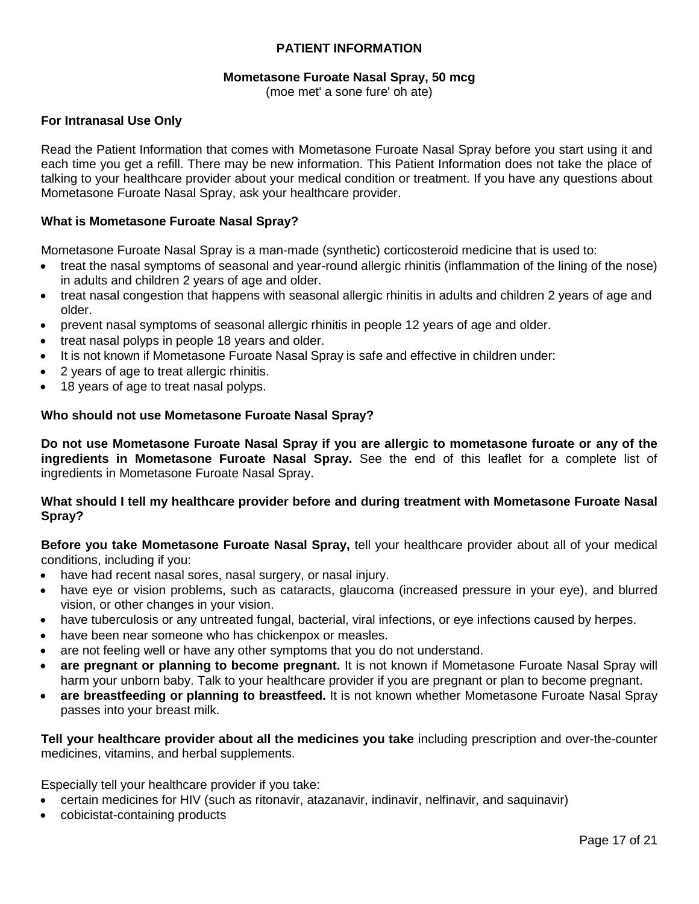# **PATIENT INFORMATION**

### **Mometasone Furoate Nasal Spray, 50 mcg**

(moe met' a sone fure' oh ate)

### **For Intranasal Use Only**

Read the Patient Information that comes with Mometasone Furoate Nasal Spray before you start using it and each time you get a refill. There may be new information. This Patient Information does not take the place of talking to your healthcare provider about your medical condition or treatment. If you have any questions about Mometasone Furoate Nasal Spray, ask your healthcare provider.

### **What is Mometasone Furoate Nasal Spray?**

Mometasone Furoate Nasal Spray is a man-made (synthetic) corticosteroid medicine that is used to:

- treat the nasal symptoms of seasonal and year-round allergic rhinitis (inflammation of the lining of the nose) in adults and children 2 years of age and older.
- treat nasal congestion that happens with seasonal allergic rhinitis in adults and children 2 years of age and older.
- prevent nasal symptoms of seasonal allergic rhinitis in people 12 years of age and older.
- treat nasal polyps in people 18 years and older.
- It is not known if Mometasone Furoate Nasal Spray is safe and effective in children under:
- 2 years of age to treat allergic rhinitis.
- 18 years of age to treat nasal polyps.

### **Who should not use Mometasone Furoate Nasal Spray?**

**Do not use Mometasone Furoate Nasal Spray if you are allergic to mometasone furoate or any of the ingredients in Mometasone Furoate Nasal Spray.** See the end of this leaflet for a complete list of ingredients in Mometasone Furoate Nasal Spray.

### **What should I tell my healthcare provider before and during treatment with Mometasone Furoate Nasal Spray?**

**Before you take Mometasone Furoate Nasal Spray,** tell your healthcare provider about all of your medical conditions, including if you:

- have had recent nasal sores, nasal surgery, or nasal injury.
- have eye or vision problems, such as cataracts, glaucoma (increased pressure in your eye), and blurred vision, or other changes in your vision.
- have tuberculosis or any untreated fungal, bacterial, viral infections, or eye infections caused by herpes.
- have been near someone who has chickenpox or measles.
- are not feeling well or have any other symptoms that you do not understand.
- **are pregnant or planning to become pregnant.** It is not known if Mometasone Furoate Nasal Spray will harm your unborn baby. Talk to your healthcare provider if you are pregnant or plan to become pregnant.
- **are breastfeeding or planning to breastfeed.** It is not known whether Mometasone Furoate Nasal Spray passes into your breast milk.

**Tell your healthcare provider about all the medicines you take** including prescription and over-the-counter medicines, vitamins, and herbal supplements.

Especially tell your healthcare provider if you take:

- certain medicines for HIV (such as ritonavir, atazanavir, indinavir, nelfinavir, and saquinavir)
- cobicistat-containing products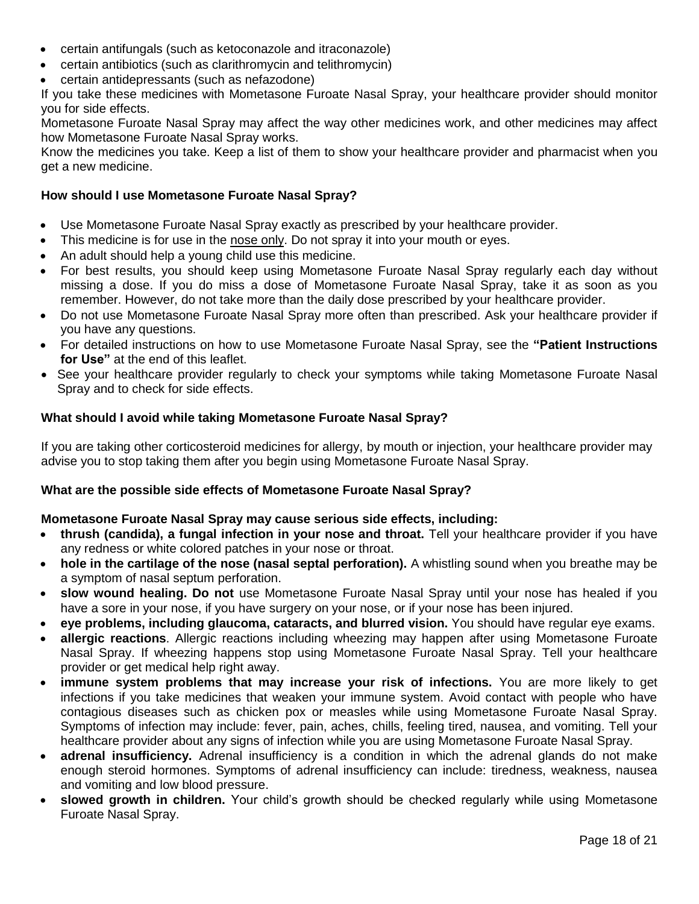- certain antifungals (such as ketoconazole and itraconazole)
- certain antibiotics (such as clarithromycin and telithromycin)
- certain antidepressants (such as nefazodone)

If you take these medicines with Mometasone Furoate Nasal Spray, your healthcare provider should monitor you for side effects.

Mometasone Furoate Nasal Spray may affect the way other medicines work, and other medicines may affect how Mometasone Furoate Nasal Spray works.

Know the medicines you take. Keep a list of them to show your healthcare provider and pharmacist when you get a new medicine.

### **How should I use Mometasone Furoate Nasal Spray?**

- Use Mometasone Furoate Nasal Spray exactly as prescribed by your healthcare provider.
- This medicine is for use in the nose only. Do not spray it into your mouth or eyes.
- An adult should help a young child use this medicine.
- For best results, you should keep using Mometasone Furoate Nasal Spray regularly each day without missing a dose. If you do miss a dose of Mometasone Furoate Nasal Spray, take it as soon as you remember. However, do not take more than the daily dose prescribed by your healthcare provider.
- Do not use Mometasone Furoate Nasal Spray more often than prescribed. Ask your healthcare provider if you have any questions.
- For detailed instructions on how to use Mometasone Furoate Nasal Spray, see the **"Patient Instructions for Use"** at the end of this leaflet.
- See your healthcare provider regularly to check your symptoms while taking Mometasone Furoate Nasal Spray and to check for side effects.

### **What should I avoid while taking Mometasone Furoate Nasal Spray?**

If you are taking other corticosteroid medicines for allergy, by mouth or injection, your healthcare provider may advise you to stop taking them after you begin using Mometasone Furoate Nasal Spray.

### **What are the possible side effects of Mometasone Furoate Nasal Spray?**

### **Mometasone Furoate Nasal Spray may cause serious side effects, including:**

- **thrush (candida), a fungal infection in your nose and throat.** Tell your healthcare provider if you have any redness or white colored patches in your nose or throat.
- **hole in the cartilage of the nose (nasal septal perforation).** A whistling sound when you breathe may be a symptom of nasal septum perforation.
- **slow wound healing. Do not** use Mometasone Furoate Nasal Spray until your nose has healed if you have a sore in your nose, if you have surgery on your nose, or if your nose has been injured.
- **eye problems, including glaucoma, cataracts, and blurred vision.** You should have regular eye exams.
- **allergic reactions**. Allergic reactions including wheezing may happen after using Mometasone Furoate Nasal Spray. If wheezing happens stop using Mometasone Furoate Nasal Spray. Tell your healthcare provider or get medical help right away.
- **immune system problems that may increase your risk of infections.** You are more likely to get infections if you take medicines that weaken your immune system. Avoid contact with people who have contagious diseases such as chicken pox or measles while using Mometasone Furoate Nasal Spray. Symptoms of infection may include: fever, pain, aches, chills, feeling tired, nausea, and vomiting. Tell your healthcare provider about any signs of infection while you are using Mometasone Furoate Nasal Spray.
- **adrenal insufficiency.** Adrenal insufficiency is a condition in which the adrenal glands do not make enough steroid hormones. Symptoms of adrenal insufficiency can include: tiredness, weakness, nausea and vomiting and low blood pressure.
- **slowed growth in children.** Your child's growth should be checked regularly while using Mometasone Furoate Nasal Spray.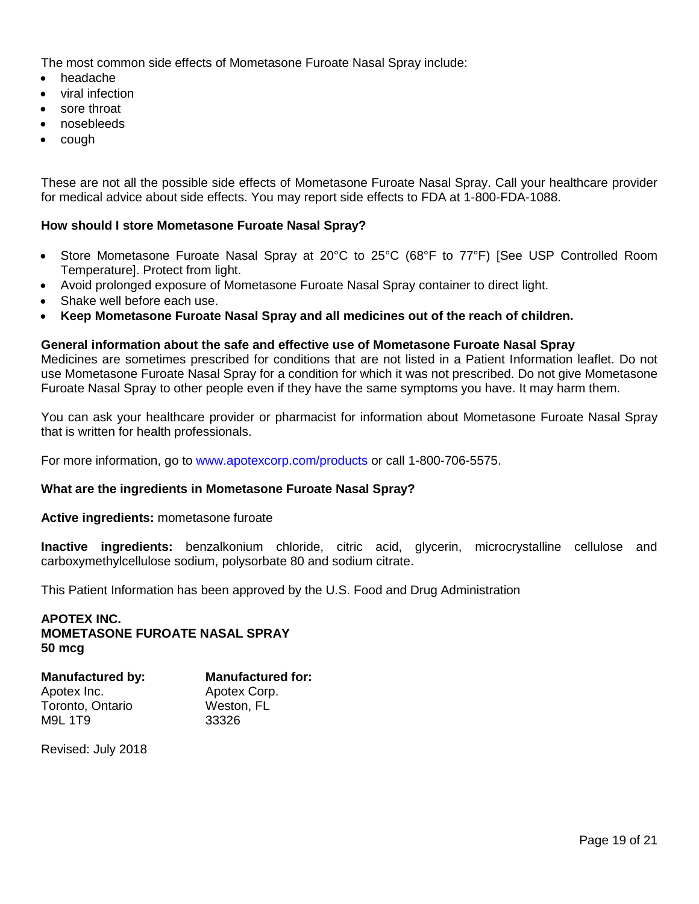The most common side effects of Mometasone Furoate Nasal Spray include:

- headache
- viral infection
- sore throat
- nosebleeds
- cough

These are not all the possible side effects of Mometasone Furoate Nasal Spray. Call your healthcare provider for medical advice about side effects. You may report side effects to FDA at 1-800-FDA-1088.

# **How should I store Mometasone Furoate Nasal Spray?**

- Store Mometasone Furoate Nasal Spray at 20°C to 25°C (68°F to 77°F) [See USP Controlled Room Temperature]. Protect from light.
- Avoid prolonged exposure of Mometasone Furoate Nasal Spray container to direct light.
- Shake well before each use.
- **Keep Mometasone Furoate Nasal Spray and all medicines out of the reach of children.**

### **General information about the safe and effective use of Mometasone Furoate Nasal Spray**

Medicines are sometimes prescribed for conditions that are not listed in a Patient Information leaflet. Do not use Mometasone Furoate Nasal Spray for a condition for which it was not prescribed. Do not give Mometasone Furoate Nasal Spray to other people even if they have the same symptoms you have. It may harm them.

You can ask your healthcare provider or pharmacist for information about Mometasone Furoate Nasal Spray that is written for health professionals.

For more information, go to [www.apotexcorp.com/products](http://www.apotexcorp.com/products) or call 1-800-706-5575.

### **What are the ingredients in Mometasone Furoate Nasal Spray?**

#### **Active ingredients:** mometasone furoate

**Inactive ingredients:** benzalkonium chloride, citric acid, glycerin, microcrystalline cellulose and carboxymethylcellulose sodium, polysorbate 80 and sodium citrate.

This Patient Information has been approved by the U.S. Food and Drug Administration

### **APOTEX INC. MOMETASONE FUROATE NASAL SPRAY 50 mcg**

| <b>Manufactured for:</b> |
|--------------------------|
| Apotex Corp.             |
| Weston, FL               |
| 33326                    |
|                          |

Revised: July 2018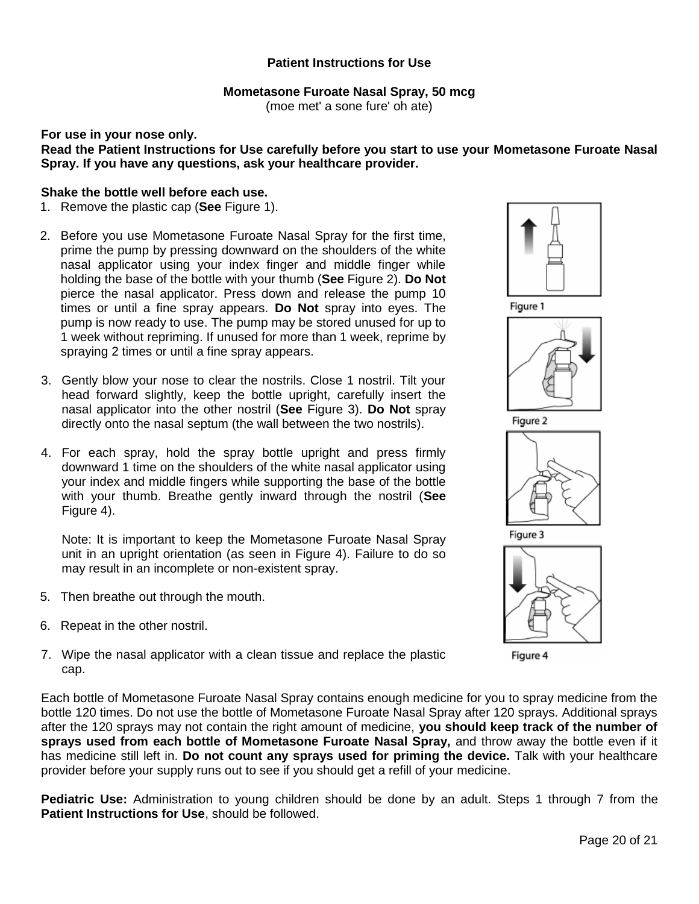# **Patient Instructions for Use**

# **Mometasone Furoate Nasal Spray, 50 mcg**

(moe met' a sone fure' oh ate)

#### **For use in your nose only. Read the Patient Instructions for Use carefully before you start to use your Mometasone Furoate Nasal Spray. If you have any questions, ask your healthcare provider.**

### **Shake the bottle well before each use.**

- 1. Remove the plastic cap (**See** Figure 1).
- 2. Before you use Mometasone Furoate Nasal Spray for the first time, prime the pump by pressing downward on the shoulders of the white nasal applicator using your index finger and middle finger while holding the base of the bottle with your thumb (**See** Figure 2). **Do Not**  pierce the nasal applicator. Press down and release the pump 10 times or until a fine spray appears. **Do Not** spray into eyes. The pump is now ready to use. The pump may be stored unused for up to 1 week without repriming. If unused for more than 1 week, reprime by spraying 2 times or until a fine spray appears.
- 3. Gently blow your nose to clear the nostrils. Close 1 nostril. Tilt your head forward slightly, keep the bottle upright, carefully insert the nasal applicator into the other nostril (**See** Figure 3). **Do Not** spray directly onto the nasal septum (the wall between the two nostrils).
- 4. For each spray, hold the spray bottle upright and press firmly downward 1 time on the shoulders of the white nasal applicator using your index and middle fingers while supporting the base of the bottle with your thumb. Breathe gently inward through the nostril (**See** Figure 4).

Note: It is important to keep the Mometasone Furoate Nasal Spray unit in an upright orientation (as seen in Figure 4). Failure to do so may result in an incomplete or non-existent spray.

- 5. Then breathe out through the mouth.
- 6. Repeat in the other nostril.
- 7. Wipe the nasal applicator with a clean tissue and replace the plastic cap.











Figure 4

Each bottle of Mometasone Furoate Nasal Spray contains enough medicine for you to spray medicine from the bottle 120 times. Do not use the bottle of Mometasone Furoate Nasal Spray after 120 sprays. Additional sprays after the 120 sprays may not contain the right amount of medicine, **you should keep track of the number of sprays used from each bottle of Mometasone Furoate Nasal Spray,** and throw away the bottle even if it has medicine still left in. **Do not count any sprays used for priming the device.** Talk with your healthcare provider before your supply runs out to see if you should get a refill of your medicine.

**Pediatric Use:** Administration to young children should be done by an adult. Steps 1 through 7 from the **Patient Instructions for Use**, should be followed.